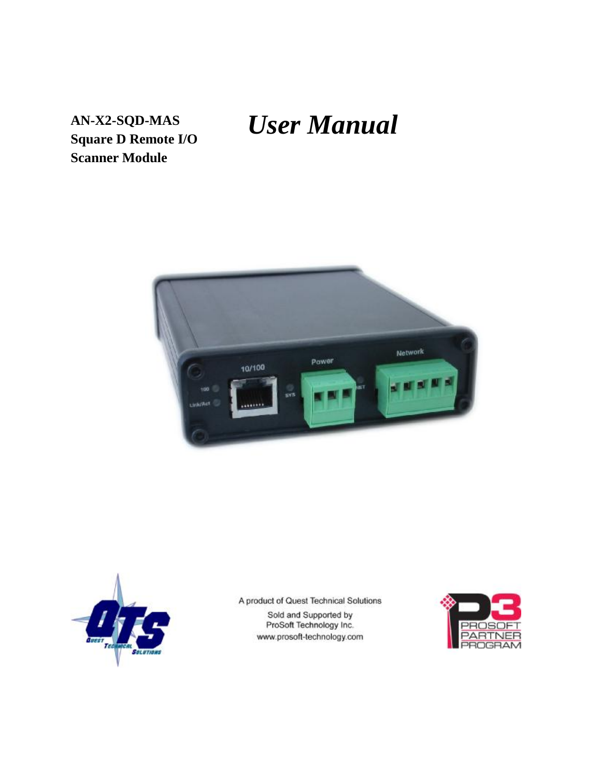# *User Manual*

**AN-X2-SQD-MAS Square D Remote I/O Scanner Module**





A product of Quest Technical Solutions Sold and Supported by<br>ProSoft Technology Inc.

www.prosoft-technology.com

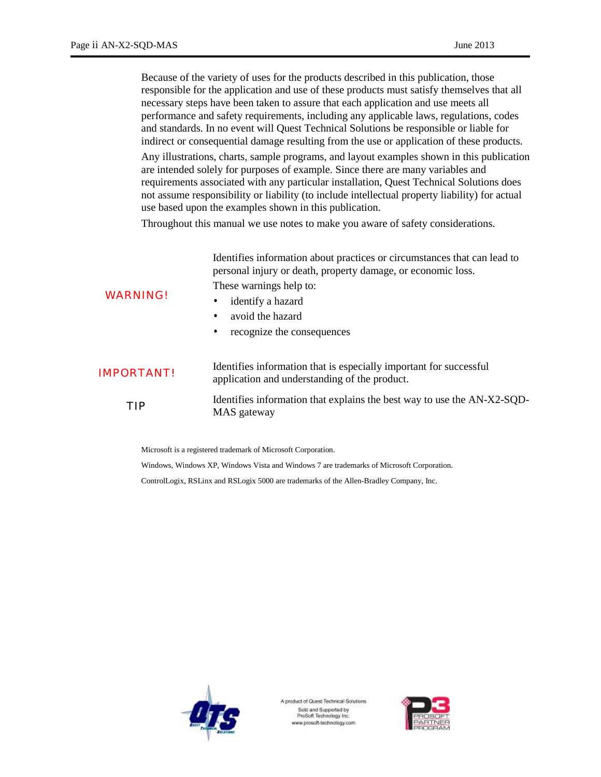Because of the variety of uses for the products described in this publication, those responsible for the application and use of these products must satisfy themselves that all necessary steps have been taken to assure that each application and use meets all performance and safety requirements, including any applicable laws, regulations, codes and standards. In no event will Quest Technical Solutions be responsible or liable for indirect or consequential damage resulting from the use or application of these products.

Any illustrations, charts, sample programs, and layout examples shown in this publication are intended solely for purposes of example. Since there are many variables and requirements associated with any particular installation, Quest Technical Solutions does not assume responsibility or liability (to include intellectual property liability) for actual use based upon the examples shown in this publication.

Throughout this manual we use notes to make you aware of safety considerations.

Identifies information about practices or circumstances that can lead to personal injury or death, property damage, or economic loss. These warnings help to:

#### WARNING!

- identify a hazard
- avoid the hazard
- recognize the consequences

| <b>IMPORTANT!</b> | Identifies information that is especially important for successful<br>application and understanding of the product. |  |
|-------------------|---------------------------------------------------------------------------------------------------------------------|--|
| TIP               | Identifies information that explains the best way to use the AN-X2-SQD-<br>MAS gateway                              |  |

Microsoft is a registered trademark of Microsoft Corporation.

Windows, Windows XP, Windows Vista and Windows 7 are trademarks of Microsoft Corporation.

ControlLogix, RSLinx and RSLogix 5000 are trademarks of the Allen-Bradley Company, Inc.



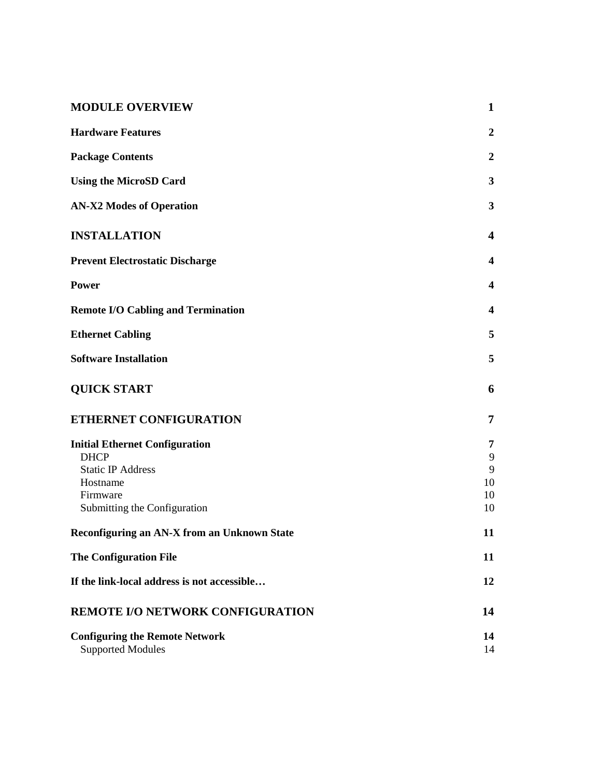| <b>MODULE OVERVIEW</b>                                            | $\mathbf{1}$            |
|-------------------------------------------------------------------|-------------------------|
| <b>Hardware Features</b>                                          | $\boldsymbol{2}$        |
| <b>Package Contents</b>                                           | $\boldsymbol{2}$        |
| <b>Using the MicroSD Card</b>                                     | $\mathbf{3}$            |
| <b>AN-X2 Modes of Operation</b>                                   | 3                       |
| <b>INSTALLATION</b>                                               | 4                       |
| <b>Prevent Electrostatic Discharge</b>                            | 4                       |
| <b>Power</b>                                                      | $\overline{\mathbf{4}}$ |
| <b>Remote I/O Cabling and Termination</b>                         | $\overline{\mathbf{4}}$ |
| <b>Ethernet Cabling</b>                                           | 5                       |
| <b>Software Installation</b>                                      | 5                       |
| <b>QUICK START</b>                                                | 6                       |
| ETHERNET CONFIGURATION                                            | 7                       |
| <b>Initial Ethernet Configuration</b>                             | 7                       |
| <b>DHCP</b>                                                       | 9                       |
| <b>Static IP Address</b>                                          | 9                       |
| Hostname<br>Firmware                                              | 10<br>10                |
| Submitting the Configuration                                      | 10                      |
| Reconfiguring an AN-X from an Unknown State                       | 11                      |
| <b>The Configuration File</b>                                     | 11                      |
| If the link-local address is not accessible                       | 12                      |
| <b>REMOTE I/O NETWORK CONFIGURATION</b>                           | 14                      |
| <b>Configuring the Remote Network</b><br><b>Supported Modules</b> | 14<br>14                |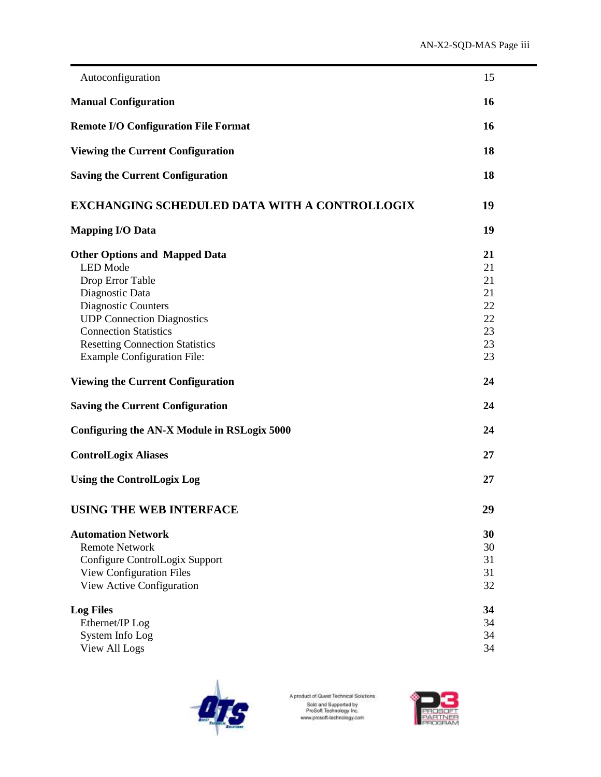| Autoconfiguration                                                                                                                                                                                                                                                                                                                                                 | 15                                                             |
|-------------------------------------------------------------------------------------------------------------------------------------------------------------------------------------------------------------------------------------------------------------------------------------------------------------------------------------------------------------------|----------------------------------------------------------------|
| <b>Manual Configuration</b>                                                                                                                                                                                                                                                                                                                                       | 16                                                             |
| <b>Remote I/O Configuration File Format</b>                                                                                                                                                                                                                                                                                                                       | 16                                                             |
| <b>Viewing the Current Configuration</b>                                                                                                                                                                                                                                                                                                                          | 18                                                             |
| <b>Saving the Current Configuration</b>                                                                                                                                                                                                                                                                                                                           | 18                                                             |
| <b>EXCHANGING SCHEDULED DATA WITH A CONTROLLOGIX</b>                                                                                                                                                                                                                                                                                                              | 19                                                             |
| <b>Mapping I/O Data</b>                                                                                                                                                                                                                                                                                                                                           | 19                                                             |
| <b>Other Options and Mapped Data</b><br><b>LED</b> Mode<br>Drop Error Table<br>Diagnostic Data<br>Diagnostic Counters<br><b>UDP Connection Diagnostics</b><br><b>Connection Statistics</b><br><b>Resetting Connection Statistics</b><br><b>Example Configuration File:</b><br><b>Viewing the Current Configuration</b><br><b>Saving the Current Configuration</b> | 21<br>21<br>21<br>21<br>22<br>22<br>23<br>23<br>23<br>24<br>24 |
| Configuring the AN-X Module in RSLogix 5000                                                                                                                                                                                                                                                                                                                       | 24                                                             |
| <b>ControlLogix Aliases</b>                                                                                                                                                                                                                                                                                                                                       | 27                                                             |
| <b>Using the ControlLogix Log</b>                                                                                                                                                                                                                                                                                                                                 | 27                                                             |
| <b>USING THE WEB INTERFACE</b>                                                                                                                                                                                                                                                                                                                                    | 29                                                             |
| <b>Automation Network</b><br><b>Remote Network</b><br>Configure ControlLogix Support<br><b>View Configuration Files</b><br>View Active Configuration                                                                                                                                                                                                              | 30<br>30<br>31<br>31<br>32                                     |
| <b>Log Files</b><br>Ethernet/IP Log<br>System Info Log<br><b>View All Logs</b>                                                                                                                                                                                                                                                                                    | 34<br>34<br>34<br>34                                           |



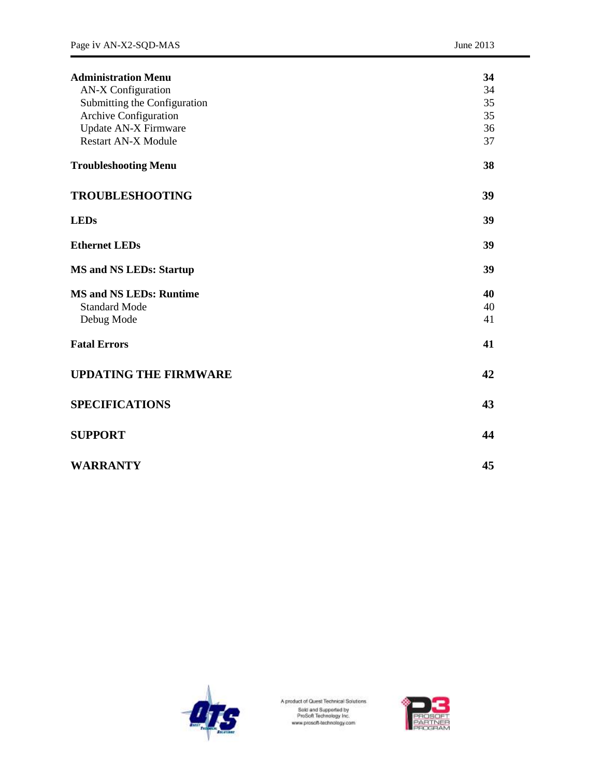| <b>Administration Menu</b>     | 34 |
|--------------------------------|----|
| <b>AN-X Configuration</b>      | 34 |
| Submitting the Configuration   | 35 |
| Archive Configuration          | 35 |
| Update AN-X Firmware           | 36 |
| <b>Restart AN-X Module</b>     | 37 |
| <b>Troubleshooting Menu</b>    | 38 |
| <b>TROUBLESHOOTING</b>         | 39 |
| <b>LEDs</b>                    | 39 |
| <b>Ethernet LEDs</b>           | 39 |
| <b>MS and NS LEDs: Startup</b> | 39 |
| <b>MS and NS LEDs: Runtime</b> | 40 |
| <b>Standard Mode</b>           | 40 |
| Debug Mode                     | 41 |
| <b>Fatal Errors</b>            | 41 |
| <b>UPDATING THE FIRMWARE</b>   | 42 |
| <b>SPECIFICATIONS</b>          | 43 |
| <b>SUPPORT</b>                 | 44 |
| <b>WARRANTY</b>                | 45 |



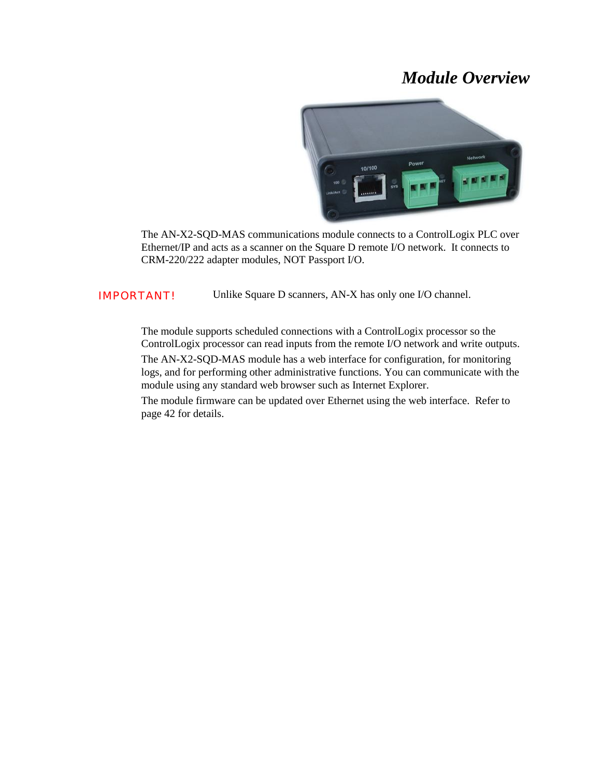# *Module Overview*



The AN-X2-SQD-MAS communications module connects to a ControlLogix PLC over Ethernet/IP and acts as a scanner on the Square D remote I/O network. It connects to CRM-220/222 adapter modules, NOT Passport I/O.

IMPORTANT! Unlike Square D scanners, AN-X has only one I/O channel.

The module supports scheduled connections with a ControlLogix processor so the ControlLogix processor can read inputs from the remote I/O network and write outputs.

The AN-X2-SQD-MAS module has a web interface for configuration, for monitoring logs, and for performing other administrative functions. You can communicate with the module using any standard web browser such as Internet Explorer.

The module firmware can be updated over Ethernet using the web interface. Refer to page 42 for details.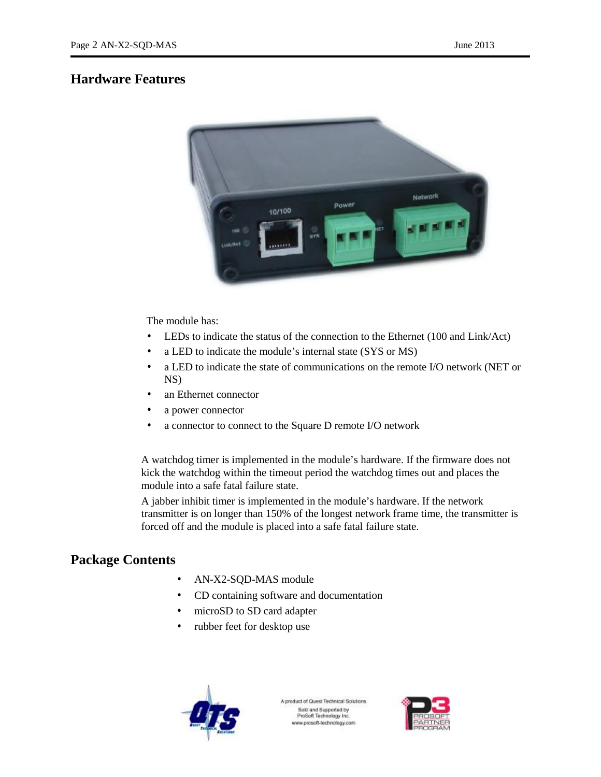# **Hardware Features**



The module has:

- LEDs to indicate the status of the connection to the Ethernet (100 and Link/Act)
- a LED to indicate the module's internal state (SYS or MS)
- a LED to indicate the state of communications on the remote I/O network (NET or NS)
- an Ethernet connector
- a power connector
- a connector to connect to the Square D remote I/O network

A watchdog timer is implemented in the module's hardware. If the firmware does not kick the watchdog within the timeout period the watchdog times out and places the module into a safe fatal failure state.

A jabber inhibit timer is implemented in the module's hardware. If the network transmitter is on longer than 150% of the longest network frame time, the transmitter is forced off and the module is placed into a safe fatal failure state.

# **Package Contents**

- AN-X2-SQD-MAS module
- CD containing software and documentation
- microSD to SD card adapter
- rubber feet for desktop use



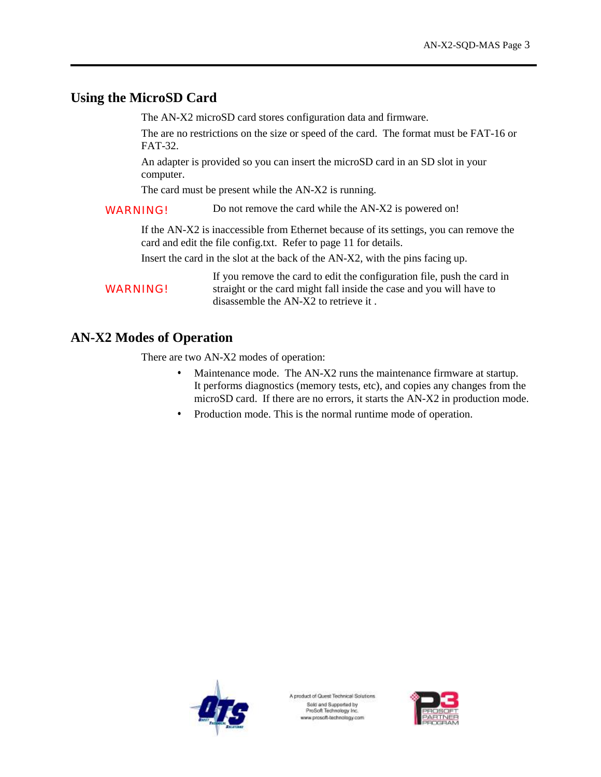# **Using the MicroSD Card**

The AN-X2 microSD card stores configuration data and firmware.

The are no restrictions on the size or speed of the card. The format must be FAT-16 or FAT-32.

An adapter is provided so you can insert the microSD card in an SD slot in your computer.

The card must be present while the AN-X2 is running.

WARNING! Do not remove the card while the AN-X2 is powered on!

If the AN-X2 is inaccessible from Ethernet because of its settings, you can remove the card and edit the file config.txt. Refer to page 11 for details.

Insert the card in the slot at the back of the AN-X2, with the pins facing up.

**WARNING!** If you remove the card to edit the configuration file, push the card in straight or the card might fall inside the case and you will have to disassemble the AN-X2 to retrieve it .

# **AN-X2 Modes of Operation**

There are two AN-X2 modes of operation:

- Maintenance mode. The AN-X2 runs the maintenance firmware at startup. It performs diagnostics (memory tests, etc), and copies any changes from the microSD card. If there are no errors, it starts the AN-X2 in production mode.
- Production mode. This is the normal runtime mode of operation.



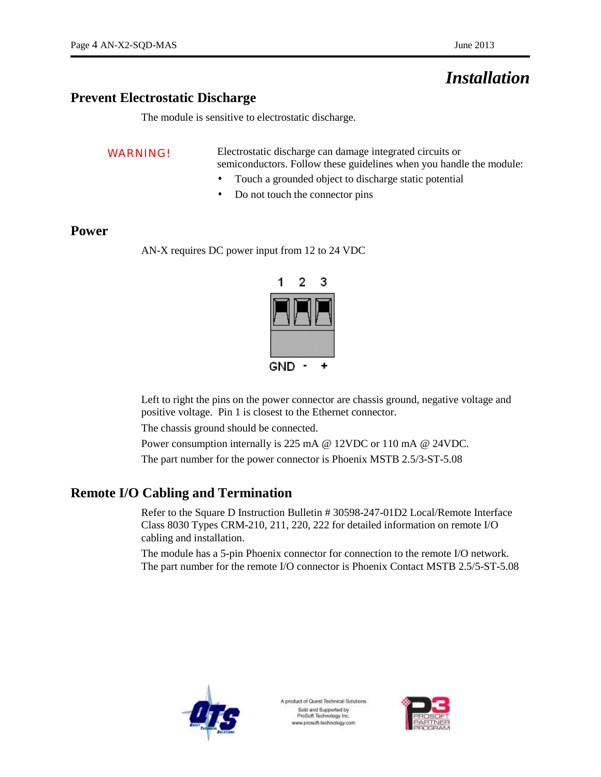# *Installation*

# **Prevent Electrostatic Discharge**

The module is sensitive to electrostatic discharge.

WARNING! Electrostatic discharge can damage integrated circuits or semiconductors. Follow these guidelines when you handle the module:

- Touch a grounded object to discharge static potential
- Do not touch the connector pins

# **Power**

AN-X requires DC power input from 12 to 24 VDC



Left to right the pins on the power connector are chassis ground, negative voltage and positive voltage. Pin 1 is closest to the Ethernet connector.

The chassis ground should be connected.

Power consumption internally is 225 mA @ 12VDC or 110 mA @ 24VDC.

The part number for the power connector is Phoenix MSTB 2.5/3-ST-5.08

# **Remote I/O Cabling and Termination**

Refer to the Square D Instruction Bulletin # 30598-247-01D2 Local/Remote Interface Class 8030 Types CRM-210, 211, 220, 222 for detailed information on remote I/O cabling and installation.

The module has a 5-pin Phoenix connector for connection to the remote I/O network. The part number for the remote I/O connector is Phoenix Contact MSTB 2.5/5-ST-5.08



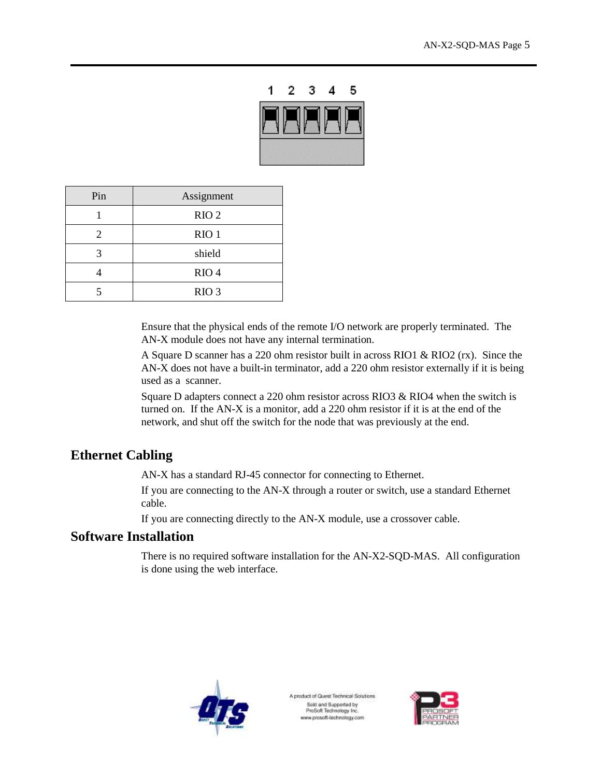

| Pin | Assignment       |
|-----|------------------|
|     | RIO <sub>2</sub> |
| 2   | $RIO$ 1          |
|     | shield           |
|     | RIO <sub>4</sub> |
|     | RIO <sub>3</sub> |

Ensure that the physical ends of the remote I/O network are properly terminated. The AN-X module does not have any internal termination.

A Square D scanner has a 220 ohm resistor built in across RIO1 & RIO2 (rx). Since the AN-X does not have a built-in terminator, add a 220 ohm resistor externally if it is being used as a scanner.

Square D adapters connect a 220 ohm resistor across RIO3 & RIO4 when the switch is turned on. If the AN-X is a monitor, add a 220 ohm resistor if it is at the end of the network, and shut off the switch for the node that was previously at the end.

# **Ethernet Cabling**

AN-X has a standard RJ-45 connector for connecting to Ethernet.

If you are connecting to the AN-X through a router or switch, use a standard Ethernet cable.

If you are connecting directly to the AN-X module, use a crossover cable.

# **Software Installation**

There is no required software installation for the AN-X2-SQD-MAS. All configuration is done using the web interface.



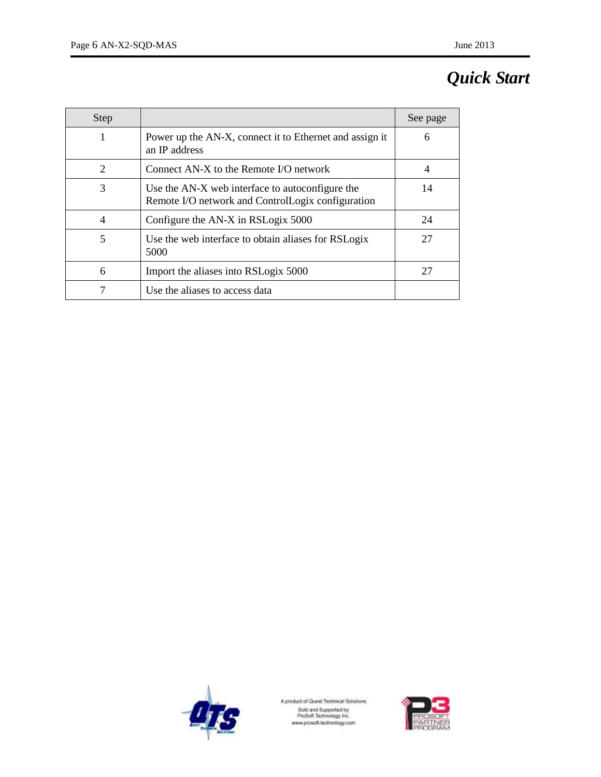# *Quick Start*

| <b>Step</b> |                                                                                                      | See page |
|-------------|------------------------------------------------------------------------------------------------------|----------|
| 1           | Power up the AN-X, connect it to Ethernet and assign it<br>an IP address                             | 6        |
| 2           | Connect $AN-X$ to the Remote I/O network                                                             | 4        |
| 3           | Use the AN-X web interface to autoconfigure the<br>Remote I/O network and ControlLogix configuration | 14       |
| 4           | Configure the AN-X in RSLogix 5000                                                                   | 24       |
| 5           | Use the web interface to obtain aliases for RSLogix<br>5000                                          | 27       |
| 6           | Import the aliases into RSLogix 5000                                                                 | 27       |
|             | Use the aliases to access data                                                                       |          |



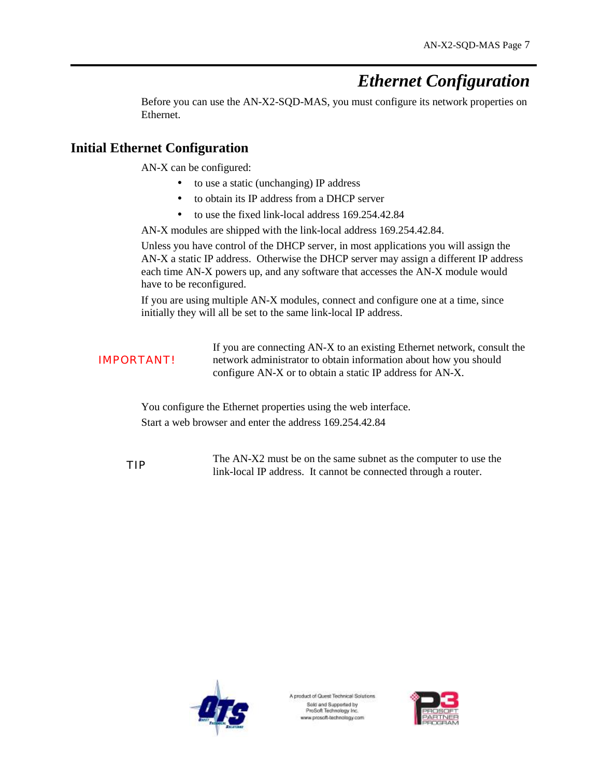# *Ethernet Configuration*

Before you can use the AN-X2-SQD-MAS, you must configure its network properties on Ethernet.

# **Initial Ethernet Configuration**

AN-X can be configured:

- · to use a static (unchanging) IP address
- · to obtain its IP address from a DHCP server
- · to use the fixed link-local address 169.254.42.84

AN-X modules are shipped with the link-local address 169.254.42.84.

Unless you have control of the DHCP server, in most applications you will assign the AN-X a static IP address. Otherwise the DHCP server may assign a different IP address each time AN-X powers up, and any software that accesses the AN-X module would have to be reconfigured.

If you are using multiple AN-X modules, connect and configure one at a time, since initially they will all be set to the same link-local IP address.

|                   | If you are connecting AN-X to an existing Ethernet network, consult the |
|-------------------|-------------------------------------------------------------------------|
| <b>IMPORTANT!</b> | network administrator to obtain information about how you should        |
|                   | configure AN-X or to obtain a static IP address for AN-X.               |

You configure the Ethernet properties using the web interface. Start a web browser and enter the address 169.254.42.84

TIP The AN-X2 must be on the same subnet as the computer to use the TIP link-local IP address. It cannot be connected through a router.



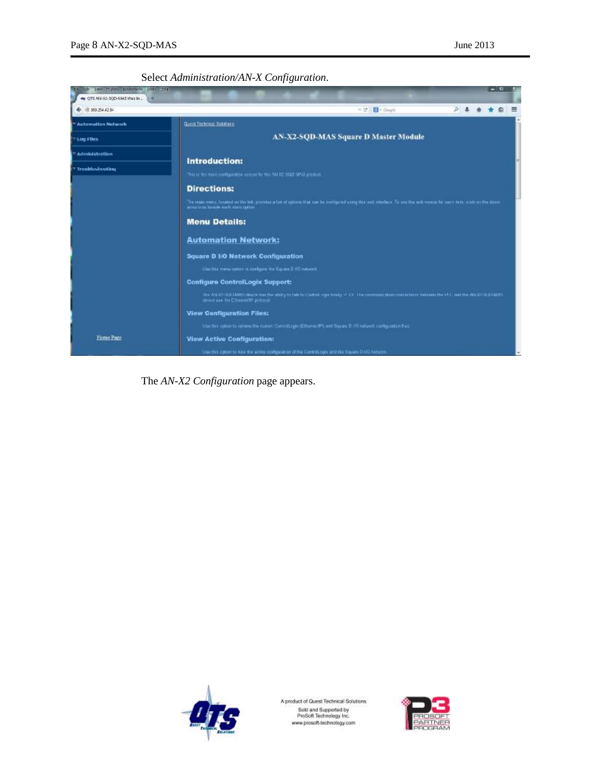Select *Administration/AN-X Configuration*.



The *AN-X2 Configuration* page appears.



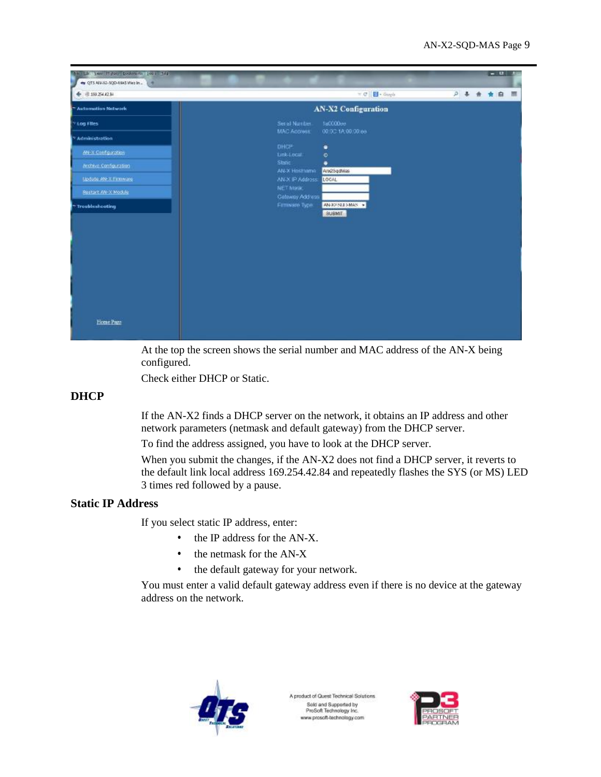

At the top the screen shows the serial number and MAC address of the AN-X being configured.

Check either DHCP or Static.

# **DHCP**

If the AN-X2 finds a DHCP server on the network, it obtains an IP address and other network parameters (netmask and default gateway) from the DHCP server.

To find the address assigned, you have to look at the DHCP server.

When you submit the changes, if the AN-X2 does not find a DHCP server, it reverts to the default link local address 169.254.42.84 and repeatedly flashes the SYS (or MS) LED 3 times red followed by a pause.

# **Static IP Address**

If you select static IP address, enter:

- the IP address for the AN-X.
- the netmask for the AN-X
- the default gateway for your network.

You must enter a valid default gateway address even if there is no device at the gateway address on the network.



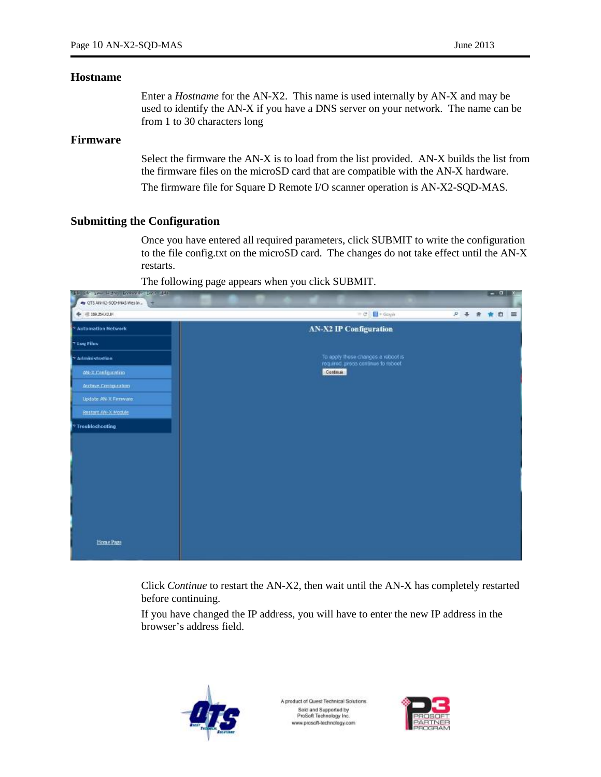#### **Hostname**

Enter a *Hostname* for the AN-X2. This name is used internally by AN-X and may be used to identify the AN-X if you have a DNS server on your network. The name can be from 1 to 30 characters long

### **Firmware**

Select the firmware the AN-X is to load from the list provided. AN-X builds the list from the firmware files on the microSD card that are compatible with the AN-X hardware. The firmware file for Square D Remote I/O scanner operation is AN-X2-SQD-MAS.

#### **Submitting the Configuration**

Once you have entered all required parameters, click SUBMIT to write the configuration to the file config.txt on the microSD card. The changes do not take effect until the AN-X restarts.

The following page appears when you click SUBMIT.



Click *Continue* to restart the AN-X2, then wait until the AN-X has completely restarted before continuing.

If you have changed the IP address, you will have to enter the new IP address in the browser's address field.



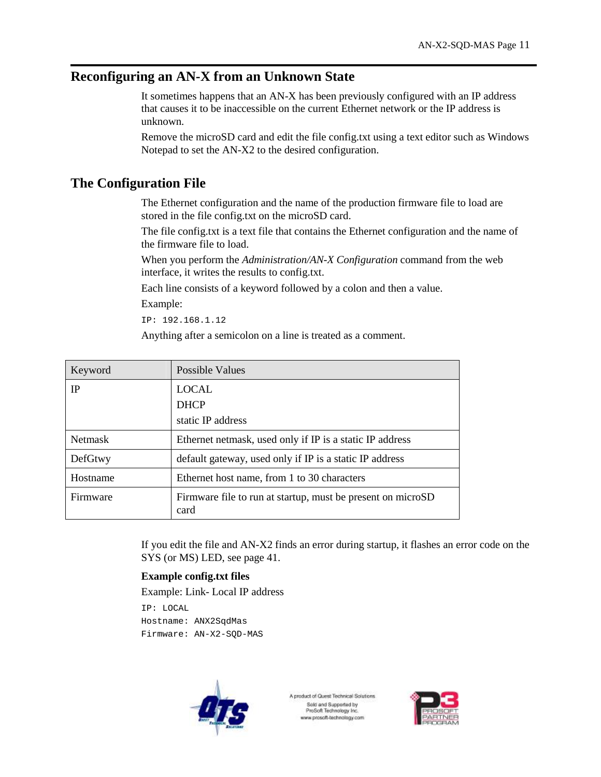# **Reconfiguring an AN-X from an Unknown State**

It sometimes happens that an AN-X has been previously configured with an IP address that causes it to be inaccessible on the current Ethernet network or the IP address is unknown.

Remove the microSD card and edit the file config.txt using a text editor such as Windows Notepad to set the AN-X2 to the desired configuration.

# **The Configuration File**

The Ethernet configuration and the name of the production firmware file to load are stored in the file config.txt on the microSD card.

The file config.txt is a text file that contains the Ethernet configuration and the name of the firmware file to load.

When you perform the *Administration/AN-X Configuration* command from the web interface, it writes the results to config.txt.

Each line consists of a keyword followed by a colon and then a value.

Example:

IP: 192.168.1.12

Anything after a semicolon on a line is treated as a comment.

| Keyword        | Possible Values                                                     |  |
|----------------|---------------------------------------------------------------------|--|
| <b>IP</b>      | <b>LOCAL</b>                                                        |  |
|                | <b>DHCP</b>                                                         |  |
|                | static IP address                                                   |  |
| <b>Netmask</b> | Ethernet netmask, used only if IP is a static IP address            |  |
| DefGtwy        | default gateway, used only if IP is a static IP address             |  |
| Hostname       | Ethernet host name, from 1 to 30 characters                         |  |
| Firmware       | Firmware file to run at startup, must be present on microSD<br>card |  |

If you edit the file and AN-X2 finds an error during startup, it flashes an error code on the SYS (or MS) LED, see page 41.

#### **Example config.txt files**

Example: Link- Local IP address

IP: LOCAL Hostname: ANX2SqdMas Firmware: AN-X2-SQD-MAS



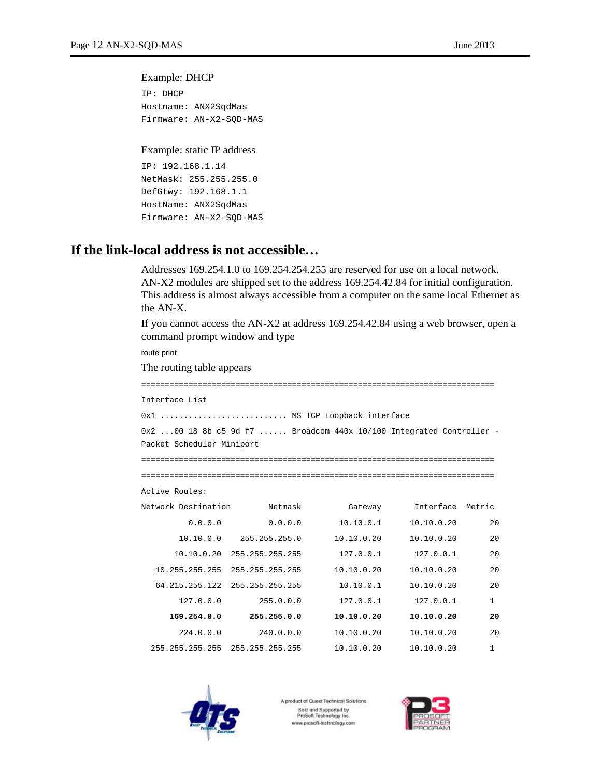#### Example: DHCP

```
IP: DHCP 
Hostname: ANX2SqdMas 
Firmware: AN-X2-SQD-MAS
```
#### Example: static IP address

```
IP: 192.168.1.14 
NetMask: 255.255.255.0 
DefGtwy: 192.168.1.1 
HostName: ANX2SqdMas 
Firmware: AN-X2-SQD-MAS
```
# **If the link-local address is not accessible…**

Addresses 169.254.1.0 to 169.254.254.255 are reserved for use on a local network. AN-X2 modules are shipped set to the address 169.254.42.84 for initial configuration. This address is almost always accessible from a computer on the same local Ethernet as the AN-X.

If you cannot access the AN-X2 at address 169.254.42.84 using a web browser, open a command prompt window and type

route print

The routing table appears

=========================================================================== Interface List 0x1 ........................... MS TCP Loopback interface 0x2 ...00 18 8b c5 9d f7 ...... Broadcom 440x 10/100 Integrated Controller - Packet Scheduler Miniport =========================================================================== =========================================================================== Active Routes: Network Destination Netmask Gateway Interface Metric 0.0.0.0 0.0.0.0 10.10.0.1 10.10.0.20 20 10.10.0.0 255.255.255.0 10.10.0.20 10.10.0.20 20 10.10.0.20 255.255.255.255 127.0.0.1 127.0.0.1 20 10.255.255.255 255.255.255.255 10.10.0.20 10.10.0.20 20 64.215.255.122 255.255.255.255 10.10.0.1 10.10.0.20 20 127.0.0.0 255.0.0.0 127.0.0.1 127.0.0.1 1 **169.254.0.0 255.255.0.0 10.10.0.20 10.10.0.20 20**  224.0.0.0 240.0.0.0 10.10.0.20 10.10.0.20 20 255.255.255.255 255.255.255.255 10.10.0.20 10.10.0.20 1



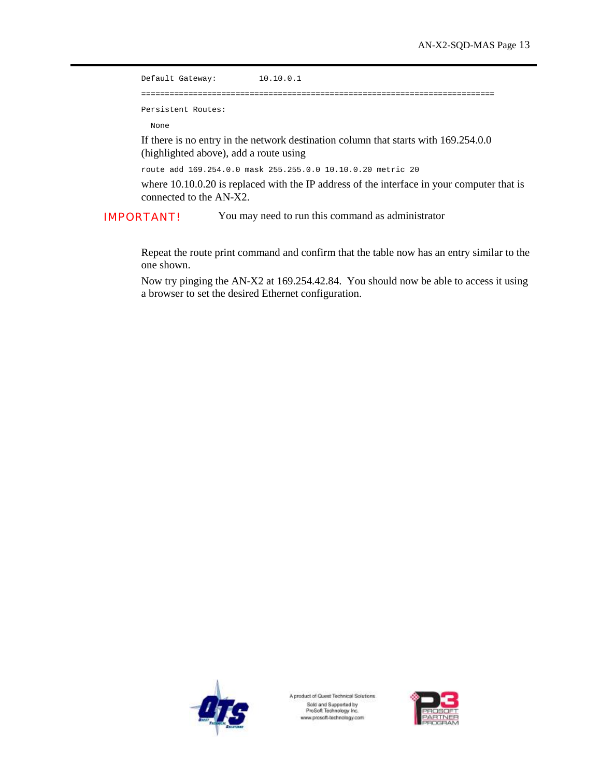Default Gateway: 10.10.0.1 =========================================================================== Persistent Routes:

None

If there is no entry in the network destination column that starts with 169.254.0.0 (highlighted above), add a route using

route add 169.254.0.0 mask 255.255.0.0 10.10.0.20 metric 20

where 10.10.0.20 is replaced with the IP address of the interface in your computer that is connected to the AN-X2.

IMPORTANT! You may need to run this command as administrator

Repeat the route print command and confirm that the table now has an entry similar to the one shown.

Now try pinging the AN-X2 at 169.254.42.84. You should now be able to access it using a browser to set the desired Ethernet configuration.



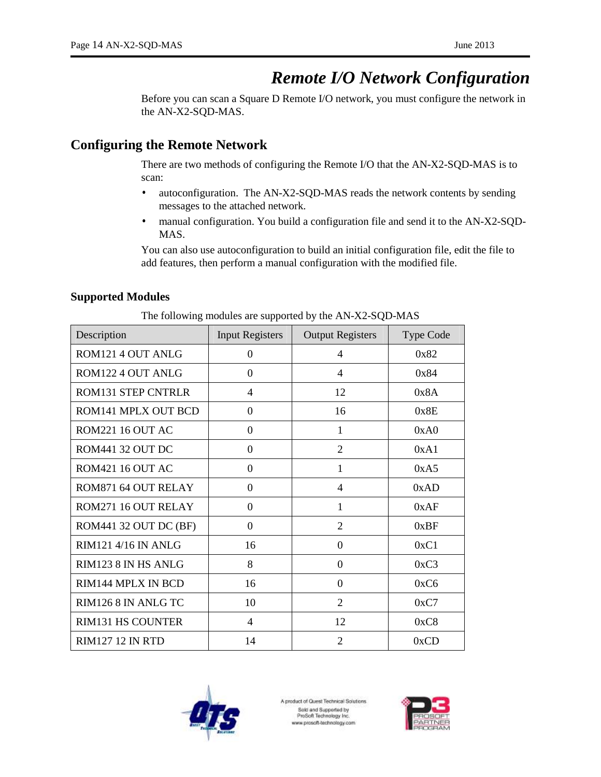# *Remote I/O Network Configuration*

Before you can scan a Square D Remote I/O network, you must configure the network in the AN-X2-SQD-MAS.

# **Configuring the Remote Network**

There are two methods of configuring the Remote I/O that the AN-X2-SQD-MAS is to scan:

- autoconfiguration. The AN-X2-SQD-MAS reads the network contents by sending messages to the attached network.
- manual configuration. You build a configuration file and send it to the AN-X2-SQD-MAS.

You can also use autoconfiguration to build an initial configuration file, edit the file to add features, then perform a manual configuration with the modified file.

# **Supported Modules**

| Description               | <b>Input Registers</b> | <b>Output Registers</b> | <b>Type Code</b> |
|---------------------------|------------------------|-------------------------|------------------|
| ROM121 4 OUT ANLG         | $\Omega$               | 4                       | 0x82             |
| ROM122 4 OUT ANLG         | $\Omega$               | 4                       | 0x84             |
| <b>ROM131 STEP CNTRLR</b> | 4                      | 12                      | 0x8A             |
| ROM141 MPLX OUT BCD       | $\theta$               | 16                      | 0x8E             |
| ROM221 16 OUT AC          | $\theta$               | 1                       | 0xA0             |
| ROM441 32 OUT DC          | $\Omega$               | $\overline{2}$          | 0xA1             |
| ROM421 16 OUT AC          | $\Omega$               | 1                       | 0xA5             |
| ROM871 64 OUT RELAY       | $\boldsymbol{0}$       | 4                       | 0xAD             |
| ROM271 16 OUT RELAY       | $\theta$               | 1                       | 0xAF             |
| ROM441 32 OUT DC (BF)     | $\Omega$               | 2                       | 0xBF             |
| RIM121 4/16 IN ANLG       | 16                     | $\Omega$                | 0xC1             |
| RIM123 8 IN HS ANLG       | 8                      | 0                       | 0xC3             |
| RIM144 MPLX IN BCD        | 16                     | $\Omega$                | 0xC6             |
| RIM126 8 IN ANLG TC       | 10                     | 2                       | 0xC7             |
| <b>RIM131 HS COUNTER</b>  | 4                      | 12                      | 0xC8             |
| <b>RIM127 12 IN RTD</b>   | 14                     | $\overline{2}$          | 0xCD             |

The following modules are supported by the AN-X2-SQD-MAS



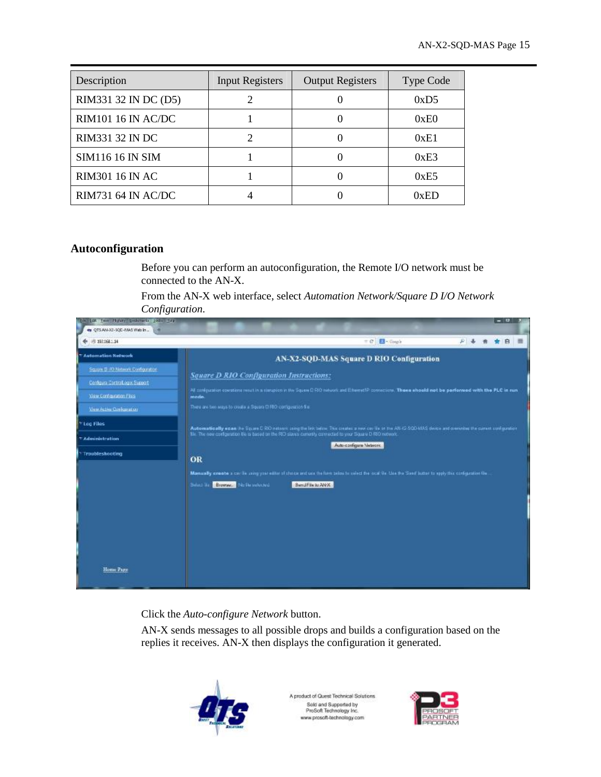| Description               | <b>Input Registers</b> | <b>Output Registers</b> | <b>Type Code</b> |
|---------------------------|------------------------|-------------------------|------------------|
| RIM331 32 IN DC (D5)      | 2                      |                         | 0xD5             |
| <b>RIM101 16 IN AC/DC</b> |                        |                         | 0xE0             |
| <b>RIM331 32 IN DC</b>    |                        |                         | 0xE1             |
| <b>SIM116 16 IN SIM</b>   |                        |                         | 0xE3             |
| <b>RIM301 16 IN AC</b>    |                        |                         | 0xE5             |
| <b>RIM731 64 IN AC/DC</b> |                        |                         | 0xED             |

# **Autoconfiguration**

Before you can perform an autoconfiguration, the Remote I/O network must be connected to the AN-X.

From the AN-X web interface, select *Automation Network/Square D I/O Network Configuration*.

| 图 192.168.1.14                    |                                                                | $= 0.1$<br><b>Ed</b> - Cough                                                                                                                                       | $\mathcal{P}$ $\mathcal{A}$ | 音 | 食良 | $=$ |
|-----------------------------------|----------------------------------------------------------------|--------------------------------------------------------------------------------------------------------------------------------------------------------------------|-----------------------------|---|----|-----|
| <b>Automation Network</b>         |                                                                | AN-X2-SQD-MAS Square D RIO Configuration                                                                                                                           |                             |   |    |     |
| Square B TO Notwork Configuration | <b>Square D RIO Configuration Instructions:</b>                |                                                                                                                                                                    |                             |   |    |     |
| Confours Cartrallogo: Support     |                                                                |                                                                                                                                                                    |                             |   |    |     |
| Vike Configuration Fike           | mode                                                           | All configuration constitutes result in a circupion in the Square D RIO nations and Edward R connectors. These should not be performed with the PLC in run.        |                             |   |    |     |
| View Active Configuration         | There are two ways to create a Square D RIO configuration for: |                                                                                                                                                                    |                             |   |    |     |
| Vitag Files                       |                                                                | Automatically edan the Square D RX2 network using the link below. This creates a new cay the or the AN-ID-SQD-MAS device and overwrites the current confusional of |                             |   |    |     |
| * Administration                  |                                                                | Me. The new configuration the is based on the RID slaves currently connected to your Square D RIO network.                                                         |                             |   |    |     |
| Troubleshooting                   |                                                                | Auto-configure Meteoro                                                                                                                                             |                             |   |    |     |
|                                   | OR                                                             |                                                                                                                                                                    |                             |   |    |     |
|                                   |                                                                | Manually create a car ils using your stim of choics and use the form selow to select the local file. Lise the Send butter to spply the configuration file.         |                             |   |    |     |
|                                   | Browser, No life subscript<br>Servet dia                       | Sand File to AN X                                                                                                                                                  |                             |   |    |     |
|                                   |                                                                |                                                                                                                                                                    |                             |   |    |     |
|                                   |                                                                |                                                                                                                                                                    |                             |   |    |     |
|                                   |                                                                |                                                                                                                                                                    |                             |   |    |     |
|                                   |                                                                |                                                                                                                                                                    |                             |   |    |     |
|                                   |                                                                |                                                                                                                                                                    |                             |   |    |     |
|                                   |                                                                |                                                                                                                                                                    |                             |   |    |     |

Click the *Auto-configure Network* button.

AN-X sends messages to all possible drops and builds a configuration based on the replies it receives. AN-X then displays the configuration it generated.



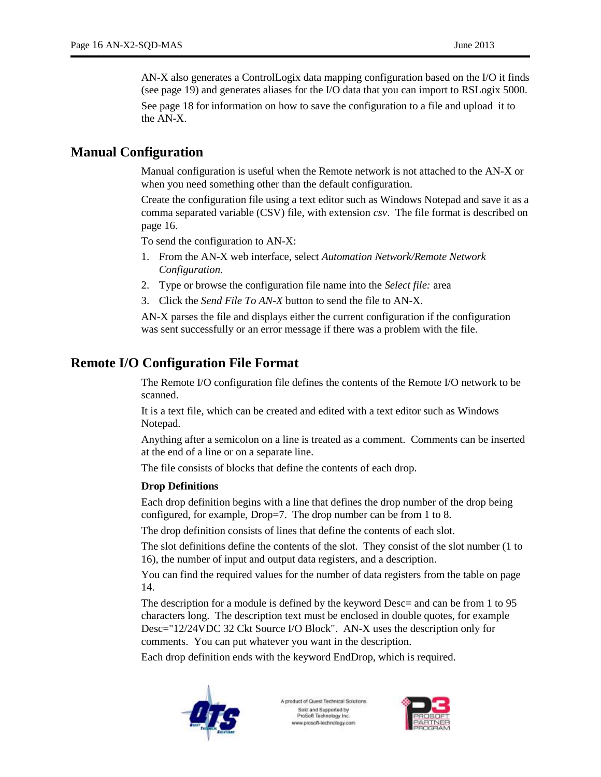AN-X also generates a ControlLogix data mapping configuration based on the I/O it finds (see page 19) and generates aliases for the I/O data that you can import to RSLogix 5000.

See page 18 for information on how to save the configuration to a file and upload it to the AN-X.

# **Manual Configuration**

Manual configuration is useful when the Remote network is not attached to the AN-X or when you need something other than the default configuration.

Create the configuration file using a text editor such as Windows Notepad and save it as a comma separated variable (CSV) file, with extension *csv*. The file format is described on page 16.

To send the configuration to AN-X:

- 1. From the AN-X web interface, select *Automation Network/Remote Network Configuration*.
- 2. Type or browse the configuration file name into the *Select file:* area
- 3. Click the *Send File To AN-X* button to send the file to AN-X.

AN-X parses the file and displays either the current configuration if the configuration was sent successfully or an error message if there was a problem with the file.

# **Remote I/O Configuration File Format**

The Remote I/O configuration file defines the contents of the Remote I/O network to be scanned.

It is a text file, which can be created and edited with a text editor such as Windows Notepad.

Anything after a semicolon on a line is treated as a comment. Comments can be inserted at the end of a line or on a separate line.

The file consists of blocks that define the contents of each drop.

#### **Drop Definitions**

Each drop definition begins with a line that defines the drop number of the drop being configured, for example, Drop=7. The drop number can be from 1 to 8.

The drop definition consists of lines that define the contents of each slot.

The slot definitions define the contents of the slot. They consist of the slot number (1 to 16), the number of input and output data registers, and a description.

You can find the required values for the number of data registers from the table on page 14.

The description for a module is defined by the keyword Desc= and can be from 1 to 95 characters long. The description text must be enclosed in double quotes, for example Desc="12/24VDC 32 Ckt Source I/O Block". AN-X uses the description only for comments. You can put whatever you want in the description.

Each drop definition ends with the keyword EndDrop, which is required.



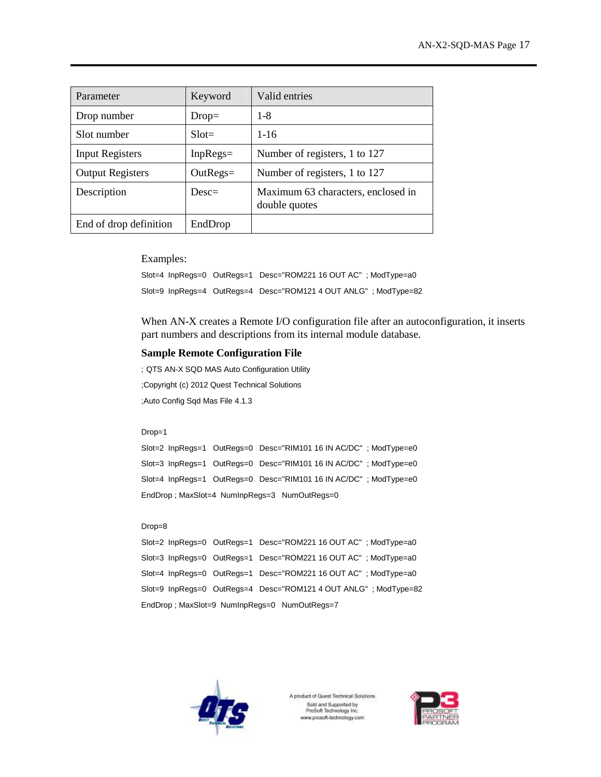| Parameter               | Keyword     | Valid entries                                       |
|-------------------------|-------------|-----------------------------------------------------|
| Drop number             | $Drop=$     | $1 - 8$                                             |
| Slot number             | $Slot =$    | $1 - 16$                                            |
| <b>Input Registers</b>  | $InpRegs =$ | Number of registers, 1 to 127                       |
| <b>Output Registers</b> | $OutRegs =$ | Number of registers, 1 to 127                       |
| Description             | $Desc=$     | Maximum 63 characters, enclosed in<br>double quotes |
| End of drop definition  | EndDrop     |                                                     |

Examples:

Slot=4 InpRegs=0 OutRegs=1 Desc="ROM221 16 OUT AC" ; ModType=a0 Slot=9 InpRegs=4 OutRegs=4 Desc="ROM121 4 OUT ANLG" ; ModType=82

When AN-X creates a Remote I/O configuration file after an autoconfiguration, it inserts part numbers and descriptions from its internal module database.

#### **Sample Remote Configuration File**

; QTS AN-X SQD MAS Auto Configuration Utility ;Copyright (c) 2012 Quest Technical Solutions ;Auto Config Sqd Mas File 4.1.3

#### Drop=1

Slot=2 InpRegs=1 OutRegs=0 Desc="RIM101 16 IN AC/DC" ; ModType=e0 Slot=3 InpRegs=1 OutRegs=0 Desc="RIM101 16 IN AC/DC" ; ModType=e0 Slot=4 InpRegs=1 OutRegs=0 Desc="RIM101 16 IN AC/DC" ; ModType=e0 EndDrop ; MaxSlot=4 NumInpRegs=3 NumOutRegs=0

#### Drop=8

|  | Slot=2 InpRegs=0 OutRegs=1 Desc="ROM221 16 OUT AC"; ModType=a0   |
|--|------------------------------------------------------------------|
|  | Slot=3 InpRegs=0 OutRegs=1 Desc="ROM221 16 OUT AC"; ModType=a0   |
|  | Slot=4 InpRegs=0 OutRegs=1 Desc="ROM221 16 OUT AC" ; ModType=a0  |
|  | Slot=9 InpRegs=0 OutRegs=4 Desc="ROM121 4 OUT ANLG" ; ModType=82 |
|  | EndDrop; MaxSlot=9 NumInpRegs=0 NumOutRegs=7                     |



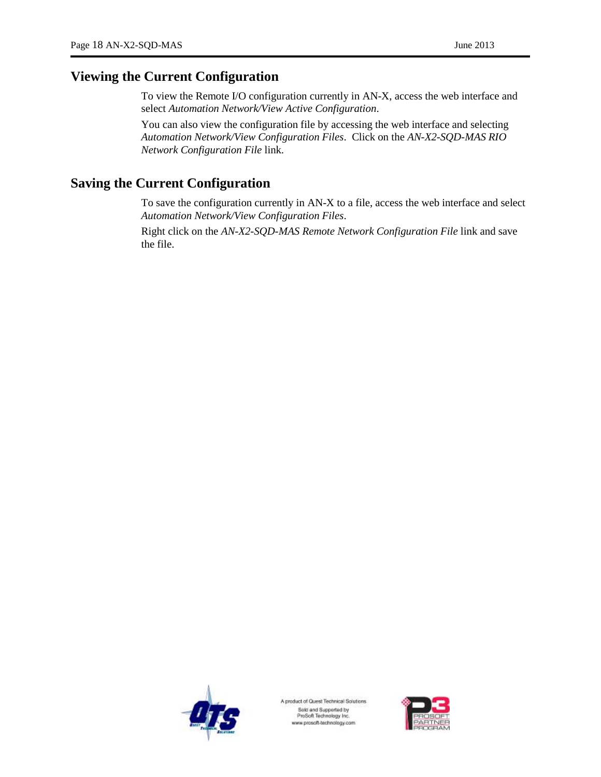# **Viewing the Current Configuration**

To view the Remote I/O configuration currently in AN-X, access the web interface and select *Automation Network/View Active Configuration*.

You can also view the configuration file by accessing the web interface and selecting *Automation Network/View Configuration Files*. Click on the *AN-X2-SQD-MAS RIO Network Configuration File* link.

# **Saving the Current Configuration**

To save the configuration currently in AN-X to a file, access the web interface and select *Automation Network/View Configuration Files*.

Right click on the *AN-X2-SQD-MAS Remote Network Configuration File* link and save the file.



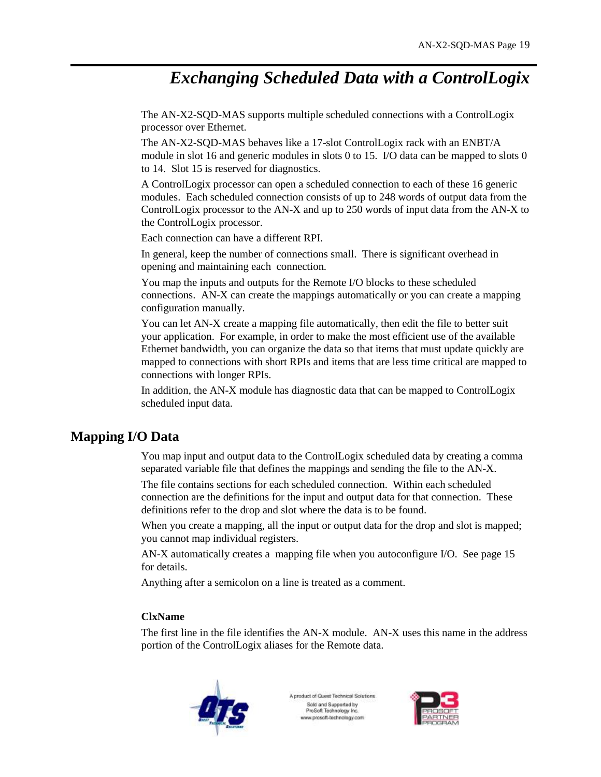# *Exchanging Scheduled Data with a ControlLogix*

The AN-X2-SQD-MAS supports multiple scheduled connections with a ControlLogix processor over Ethernet.

The AN-X2-SQD-MAS behaves like a 17-slot ControlLogix rack with an ENBT/A module in slot 16 and generic modules in slots 0 to 15. I/O data can be mapped to slots 0 to 14. Slot 15 is reserved for diagnostics.

A ControlLogix processor can open a scheduled connection to each of these 16 generic modules. Each scheduled connection consists of up to 248 words of output data from the ControlLogix processor to the AN-X and up to 250 words of input data from the AN-X to the ControlLogix processor.

Each connection can have a different RPI.

In general, keep the number of connections small. There is significant overhead in opening and maintaining each connection.

You map the inputs and outputs for the Remote I/O blocks to these scheduled connections. AN-X can create the mappings automatically or you can create a mapping configuration manually.

You can let AN-X create a mapping file automatically, then edit the file to better suit your application. For example, in order to make the most efficient use of the available Ethernet bandwidth, you can organize the data so that items that must update quickly are mapped to connections with short RPIs and items that are less time critical are mapped to connections with longer RPIs.

In addition, the AN-X module has diagnostic data that can be mapped to ControlLogix scheduled input data.

# **Mapping I/O Data**

You map input and output data to the ControlLogix scheduled data by creating a comma separated variable file that defines the mappings and sending the file to the AN-X.

The file contains sections for each scheduled connection. Within each scheduled connection are the definitions for the input and output data for that connection. These definitions refer to the drop and slot where the data is to be found.

When you create a mapping, all the input or output data for the drop and slot is mapped; you cannot map individual registers.

AN-X automatically creates a mapping file when you autoconfigure I/O. See page 15 for details.

Anything after a semicolon on a line is treated as a comment.

# **ClxName**

The first line in the file identifies the AN-X module. AN-X uses this name in the address portion of the ControlLogix aliases for the Remote data.



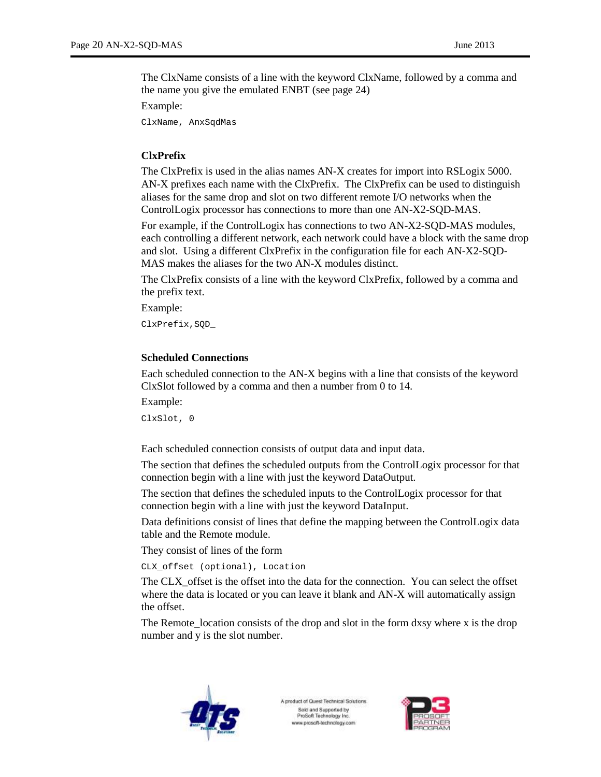The ClxName consists of a line with the keyword ClxName, followed by a comma and the name you give the emulated ENBT (see page 24)

Example:

ClxName, AnxSqdMas

### **ClxPrefix**

The ClxPrefix is used in the alias names AN-X creates for import into RSLogix 5000. AN-X prefixes each name with the ClxPrefix. The ClxPrefix can be used to distinguish aliases for the same drop and slot on two different remote I/O networks when the ControlLogix processor has connections to more than one AN-X2-SQD-MAS.

For example, if the ControlLogix has connections to two AN-X2-SQD-MAS modules, each controlling a different network, each network could have a block with the same drop and slot. Using a different ClxPrefix in the configuration file for each AN-X2-SQD-MAS makes the aliases for the two AN-X modules distinct.

The ClxPrefix consists of a line with the keyword ClxPrefix, followed by a comma and the prefix text.

Example:

ClxPrefix,SQD\_

#### **Scheduled Connections**

Each scheduled connection to the AN-X begins with a line that consists of the keyword ClxSlot followed by a comma and then a number from 0 to 14.

Example:

ClxSlot, 0

Each scheduled connection consists of output data and input data.

The section that defines the scheduled outputs from the ControlLogix processor for that connection begin with a line with just the keyword DataOutput.

The section that defines the scheduled inputs to the ControlLogix processor for that connection begin with a line with just the keyword DataInput.

Data definitions consist of lines that define the mapping between the ControlLogix data table and the Remote module.

They consist of lines of the form

CLX\_offset (optional), Location

The CLX\_offset is the offset into the data for the connection. You can select the offset where the data is located or you can leave it blank and AN-X will automatically assign the offset.

The Remote\_location consists of the drop and slot in the form dxsy where x is the drop number and y is the slot number.



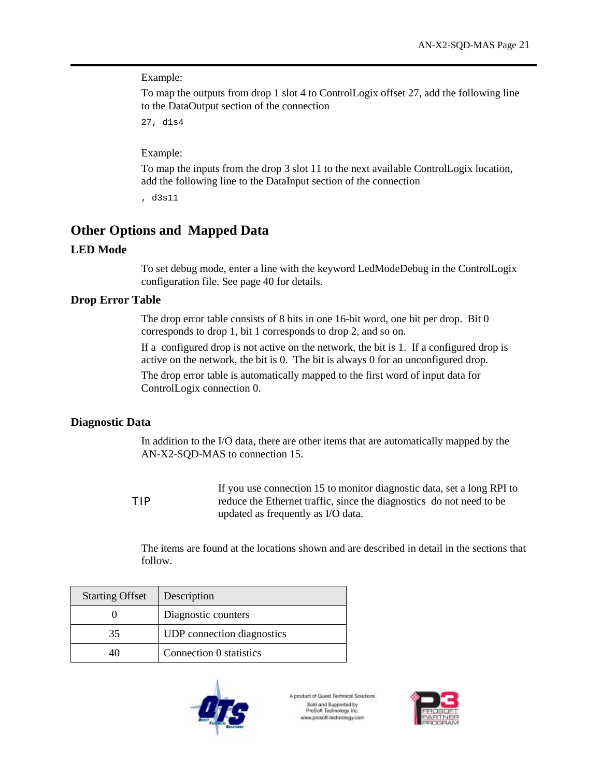Example:

To map the outputs from drop 1 slot 4 to ControlLogix offset 27, add the following line to the DataOutput section of the connection

27, d1s4

Example:

To map the inputs from the drop 3 slot 11 to the next available ControlLogix location, add the following line to the DataInput section of the connection

, d3s11

# **Other Options and Mapped Data**

### **LED Mode**

To set debug mode, enter a line with the keyword LedModeDebug in the ControlLogix configuration file. See page 40 for details.

# **Drop Error Table**

The drop error table consists of 8 bits in one 16-bit word, one bit per drop. Bit 0 corresponds to drop 1, bit 1 corresponds to drop 2, and so on.

If a configured drop is not active on the network, the bit is 1. If a configured drop is active on the network, the bit is 0. The bit is always 0 for an unconfigured drop. The drop error table is automatically mapped to the first word of input data for ControlLogix connection 0.

# **Diagnostic Data**

In addition to the I/O data, there are other items that are automatically mapped by the AN-X2-SQD-MAS to connection 15.

TIP If you use connection 15 to monitor diagnostic data, set a long RPI to reduce the Ethernet traffic, since the diagnostics do not need to be updated as frequently as I/O data.

The items are found at the locations shown and are described in detail in the sections that follow.

| <b>Starting Offset</b> | Description                       |
|------------------------|-----------------------------------|
|                        | Diagnostic counters               |
| 35                     | <b>UDP</b> connection diagnostics |
| 40                     | Connection 0 statistics           |



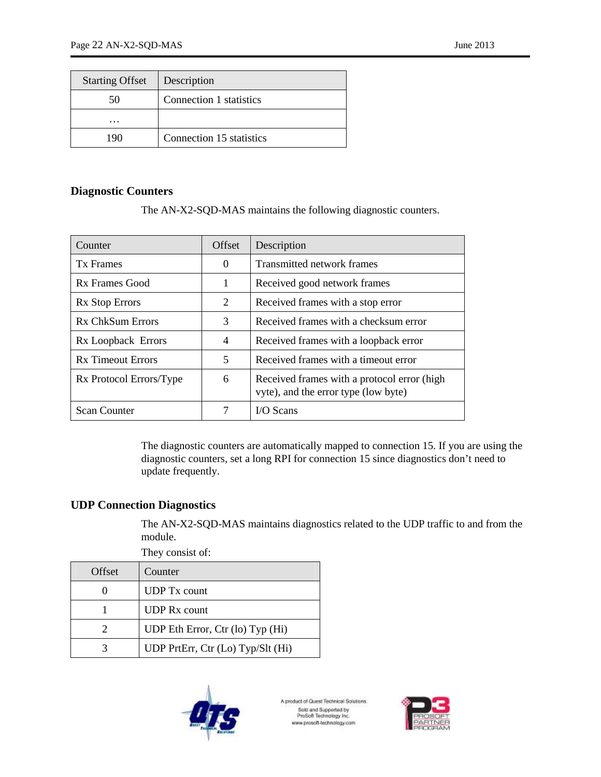| <b>Starting Offset</b> | Description              |
|------------------------|--------------------------|
| 50                     | Connection 1 statistics  |
| .                      |                          |
| 1 Q (                  | Connection 15 statistics |

# **Diagnostic Counters**

The AN-X2-SQD-MAS maintains the following diagnostic counters.

| Counter                  | Offset                   | Description                                                                         |
|--------------------------|--------------------------|-------------------------------------------------------------------------------------|
| <b>Tx Frames</b>         | $\theta$                 | Transmitted network frames                                                          |
| Rx Frames Good           | 1                        | Received good network frames                                                        |
| Rx Stop Errors           | 2                        | Received frames with a stop error                                                   |
| Rx ChkSum Errors         | 3                        | Received frames with a checksum error                                               |
| Rx Loopback Errors       | $\overline{\mathcal{A}}$ | Received frames with a loopback error                                               |
| <b>Rx Timeout Errors</b> | 5                        | Received frames with a timeout error                                                |
| Rx Protocol Errors/Type  | 6                        | Received frames with a protocol error (high<br>vyte), and the error type (low byte) |
| <b>Scan Counter</b>      |                          | $IO Scans$                                                                          |

The diagnostic counters are automatically mapped to connection 15. If you are using the diagnostic counters, set a long RPI for connection 15 since diagnostics don't need to update frequently.

# **UDP Connection Diagnostics**

The AN-X2-SQD-MAS maintains diagnostics related to the UDP traffic to and from the module.

| Offset                | They consist of:<br>Counter       |
|-----------------------|-----------------------------------|
|                       | <b>UDP</b> Tx count               |
|                       | <b>UDP</b> Rx count               |
| $\mathcal{D}_{\cdot}$ | UDP Eth Error, Ctr (lo) Typ (Hi)  |
|                       | UDP PrtErr, Ctr (Lo) Typ/Slt (Hi) |



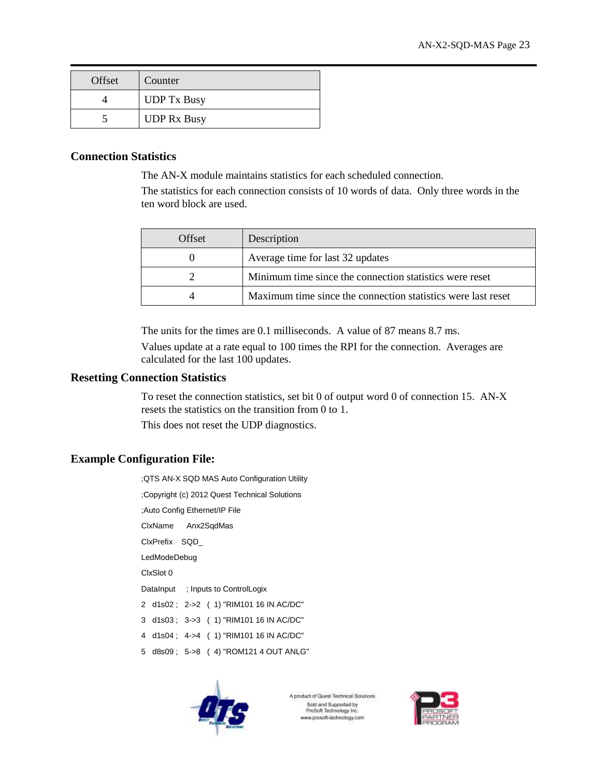| Offset | Counter            |
|--------|--------------------|
|        | <b>UDP</b> Tx Busy |
|        | <b>UDP Rx Busy</b> |

### **Connection Statistics**

The AN-X module maintains statistics for each scheduled connection.

The statistics for each connection consists of 10 words of data. Only three words in the ten word block are used.

| Offset | Description                                                  |
|--------|--------------------------------------------------------------|
|        | Average time for last 32 updates                             |
|        | Minimum time since the connection statistics were reset      |
|        | Maximum time since the connection statistics were last reset |

The units for the times are 0.1 milliseconds. A value of 87 means 8.7 ms.

Values update at a rate equal to 100 times the RPI for the connection. Averages are calculated for the last 100 updates.

#### **Resetting Connection Statistics**

To reset the connection statistics, set bit 0 of output word 0 of connection 15. AN-X resets the statistics on the transition from 0 to 1.

This does not reset the UDP diagnostics.

# **Example Configuration File:**

;QTS AN-X SQD MAS Auto Configuration Utility

;Copyright (c) 2012 Quest Technical Solutions

;Auto Config Ethernet/IP File

ClxName Anx2SqdMas

ClxPrefix SQD\_

LedModeDebug

ClxSlot 0

DataInput ; Inputs to ControlLogix

- 2 d1s02 ; 2->2 ( 1) "RIM101 16 IN AC/DC"
- 3 d1s03 ; 3->3 ( 1) "RIM101 16 IN AC/DC"
- 4 d1s04 ; 4->4 ( 1) "RIM101 16 IN AC/DC"
- 5 d8s09 ; 5->8 ( 4) "ROM121 4 OUT ANLG"



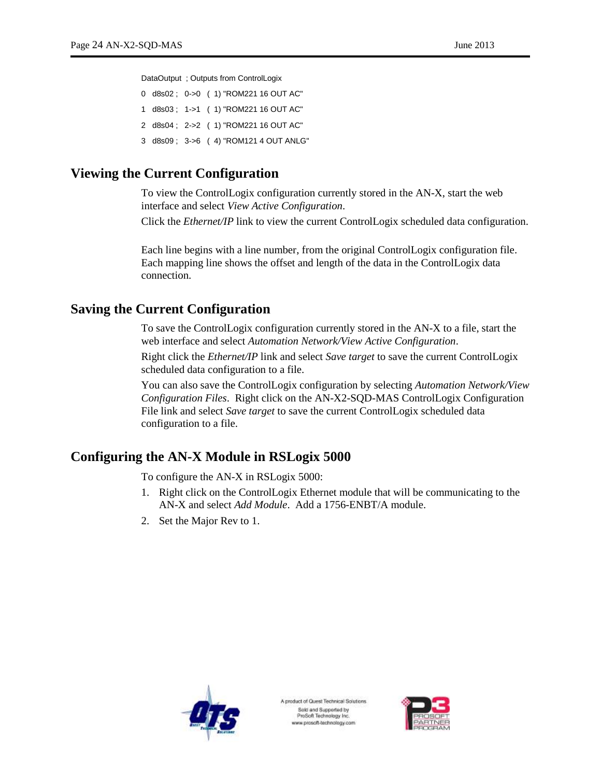DataOutput ; Outputs from ControlLogix

0 d8s02 ; 0->0 ( 1) "ROM221 16 OUT AC" 1 d8s03 ; 1->1 ( 1) "ROM221 16 OUT AC" 2 d8s04 ; 2->2 ( 1) "ROM221 16 OUT AC" 3 d8s09 ; 3->6 ( 4) "ROM121 4 OUT ANLG"

# **Viewing the Current Configuration**

To view the ControlLogix configuration currently stored in the AN-X, start the web interface and select *View Active Configuration*.

Click the *Ethernet/IP* link to view the current ControlLogix scheduled data configuration.

Each line begins with a line number, from the original ControlLogix configuration file. Each mapping line shows the offset and length of the data in the ControlLogix data connection.

# **Saving the Current Configuration**

To save the ControlLogix configuration currently stored in the AN-X to a file, start the web interface and select *Automation Network/View Active Configuration*.

Right click the *Ethernet/IP* link and select *Save target* to save the current ControlLogix scheduled data configuration to a file.

You can also save the ControlLogix configuration by selecting *Automation Network/View Configuration Files*. Right click on the AN-X2-SQD-MAS ControlLogix Configuration File link and select *Save target* to save the current ControlLogix scheduled data configuration to a file.

# **Configuring the AN-X Module in RSLogix 5000**

To configure the AN-X in RSLogix 5000:

- 1. Right click on the ControlLogix Ethernet module that will be communicating to the AN-X and select *Add Module*. Add a 1756-ENBT/A module.
- 2. Set the Major Rev to 1.



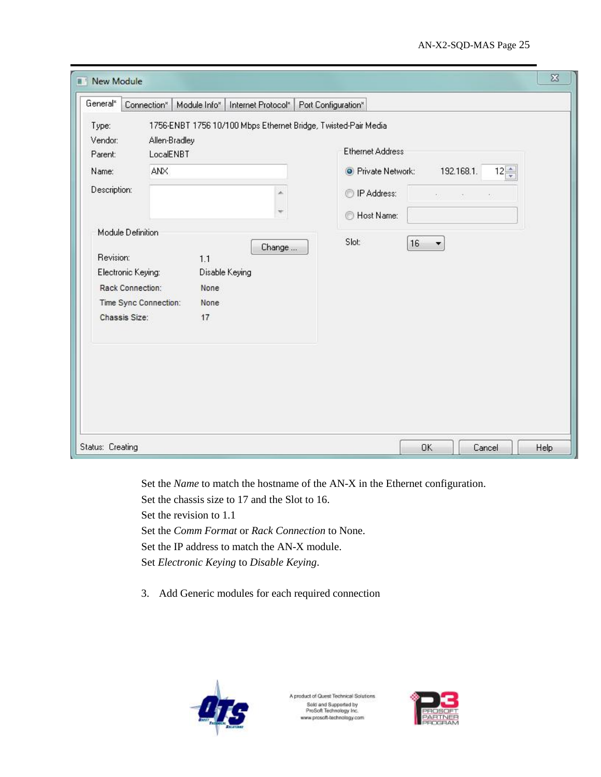|                                                                                                                                                                            | Connection*<br>Module Info*                                                      | Internet Protocol* | Port Configuration*                                                                                                                                                      |                                              |                                                |
|----------------------------------------------------------------------------------------------------------------------------------------------------------------------------|----------------------------------------------------------------------------------|--------------------|--------------------------------------------------------------------------------------------------------------------------------------------------------------------------|----------------------------------------------|------------------------------------------------|
| Type:<br>Vendor:<br>Parent:<br>Name:<br>Description:<br>Module Definition<br>Revision:<br>Electronic Keying:<br>Rack Connection:<br>Time Sync Connection:<br>Chassis Size: | Allen-Bradley<br>LocalENBT<br>ANX<br>1.1<br>Disable Keying<br>None<br>None<br>17 | à.<br>Change       | 1756-ENBT 1756 10/100 Mbps Ethernet Bridge, Twisted-Pair Media<br><b>Ethernet Address</b><br><b>O</b> Private Network:<br><sup>1</sup> P Address:<br>Host Name:<br>Slot: | 192.168.1.<br>KOL<br><b>CONTRACTOR</b><br>16 | $12\frac{4}{7}$<br>$\mathcal{F}_{\mathcal{A}}$ |
|                                                                                                                                                                            |                                                                                  |                    |                                                                                                                                                                          |                                              |                                                |

Set the *Name* to match the hostname of the AN-X in the Ethernet configuration.

Set the chassis size to 17 and the Slot to 16.

Set the revision to 1.1

Set the *Comm Format* or *Rack Connection* to None.

Set the IP address to match the AN-X module.

Set *Electronic Keying* to *Disable Keying*.

3. Add Generic modules for each required connection



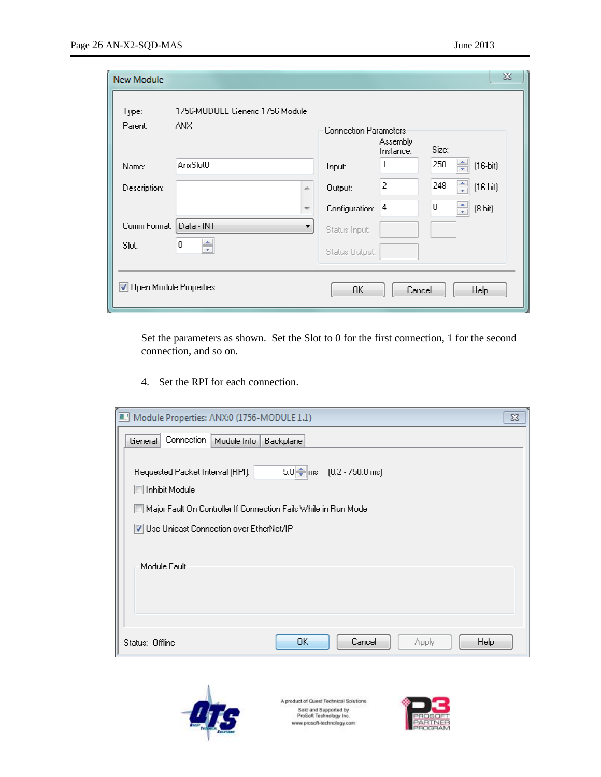| New Module                      |                                         |                          |                              |                       |              | $\Sigma$                      |  |
|---------------------------------|-----------------------------------------|--------------------------|------------------------------|-----------------------|--------------|-------------------------------|--|
| Type:<br>Parent:                | 1756-MODULE Generic 1756 Module<br>ANX. |                          | <b>Connection Parameters</b> |                       |              |                               |  |
| Name:                           | AnxSlot0                                |                          | Input:                       | Assembly<br>Instance: | Size:<br>250 | $\frac{1}{\pi}$<br>$(16-bit)$ |  |
| Description:                    |                                         | À.                       | <b>Output:</b>               | $\bar{Z}$             | 248          | ÷<br>$(16-bit)$               |  |
|                                 |                                         | <b>Spring</b>            | Configuration:               | 4                     | $\mathbf 0$  | $\frac{1}{\pi}$<br>$(8-bit)$  |  |
| Comm Format:                    | Data - INT                              | $\overline{\phantom{a}}$ | Status Input:                |                       |              |                               |  |
| Slot:                           | $\mathbf{0}$<br>÷,                      |                          | Status Output:               |                       |              |                               |  |
| <b>V</b> Open Module Properties |                                         |                          | OK.                          | Cancel                |              | <b>Help</b>                   |  |

Set the parameters as shown. Set the Slot to 0 for the first connection, 1 for the second connection, and so on.

4. Set the RPI for each connection.

| Module Properties: ANX:0 (1756-MODULE 1.1)<br>$\Sigma$                                                   |
|----------------------------------------------------------------------------------------------------------|
| Connection<br>Module Info<br>General<br><b>Backplane</b>                                                 |
| $5.0$   $\frac{2}{3}$   ms (0.2 - 750.0 ms)<br>Requested Packet Interval (RPI):<br><b>Inhibit Module</b> |
| Major Fault On Controller If Connection Fails While in Run Mode                                          |
| V Use Unicast Connection over EtherNet/IP                                                                |
| Module Fault                                                                                             |
|                                                                                                          |
| DK.<br>Cancel<br>Apply<br>Help.<br>Status: Offline                                                       |



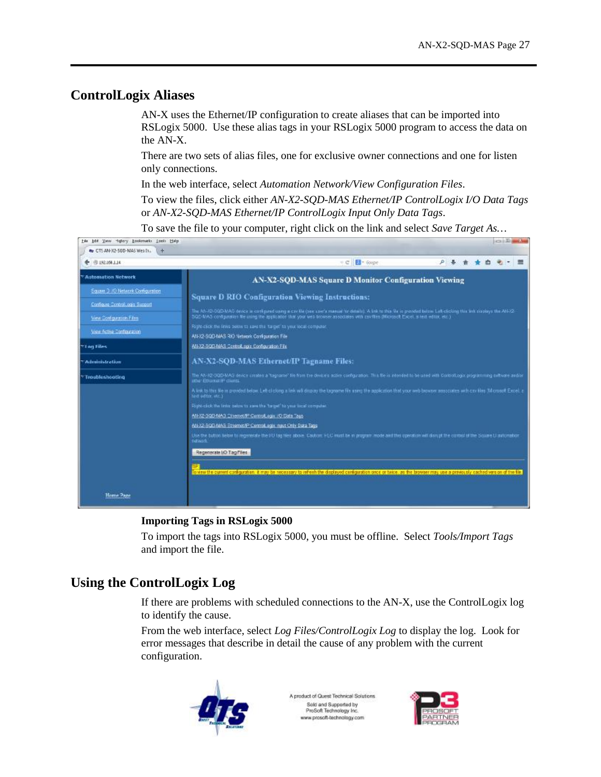# **ControlLogix Aliases**

AN-X uses the Ethernet/IP configuration to create aliases that can be imported into RSLogix 5000. Use these alias tags in your RSLogix 5000 program to access the data on the AN-X.

There are two sets of alias files, one for exclusive owner connections and one for listen only connections.

In the web interface, select *Automation Network/View Configuration Files*.

To view the files, click either *AN-X2-SQD-MAS Ethernet/IP ControlLogix I/O Data Tags* or *AN-X2-SQD-MAS Ethernet/IP ControlLogix Input Only Data Tags*.

To save the file to your computer, right click on the link and select *Save Target As…*



#### **Importing Tags in RSLogix 5000**

To import the tags into RSLogix 5000, you must be offline. Select *Tools/Import Tags* and import the file.

# **Using the ControlLogix Log**

If there are problems with scheduled connections to the AN-X, use the ControlLogix log to identify the cause.

From the web interface, select *Log Files/ControlLogix Log* to display the log. Look for error messages that describe in detail the cause of any problem with the current configuration.



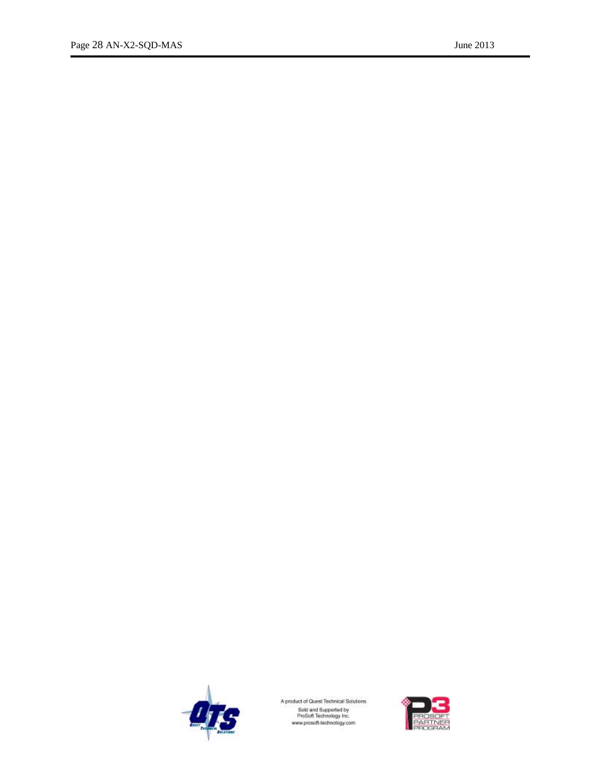

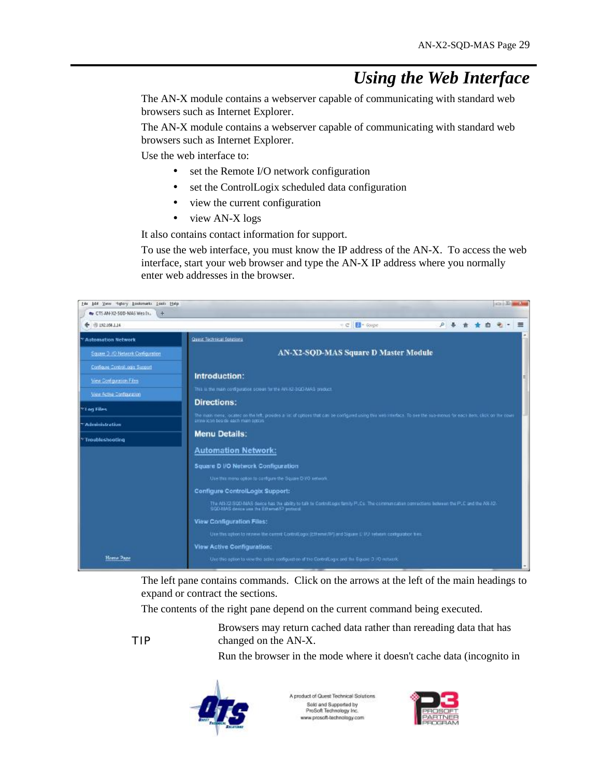# *Using the Web Interface*

The AN-X module contains a webserver capable of communicating with standard web browsers such as Internet Explorer.

The AN-X module contains a webserver capable of communicating with standard web browsers such as Internet Explorer.

Use the web interface to:

- set the Remote I/O network configuration
- · set the ControlLogix scheduled data configuration
- · view the current configuration
- · view AN-X logs

It also contains contact information for support.

To use the web interface, you must know the IP address of the AN-X. To access the web interface, start your web browser and type the AN-X IP address where you normally enter web addresses in the browser.



The left pane contains commands. Click on the arrows at the left of the main headings to expand or contract the sections.

The contents of the right pane depend on the current command being executed.

TIP

Browsers may return cached data rather than rereading data that has changed on the AN-X.

Run the browser in the mode where it doesn't cache data (incognito in



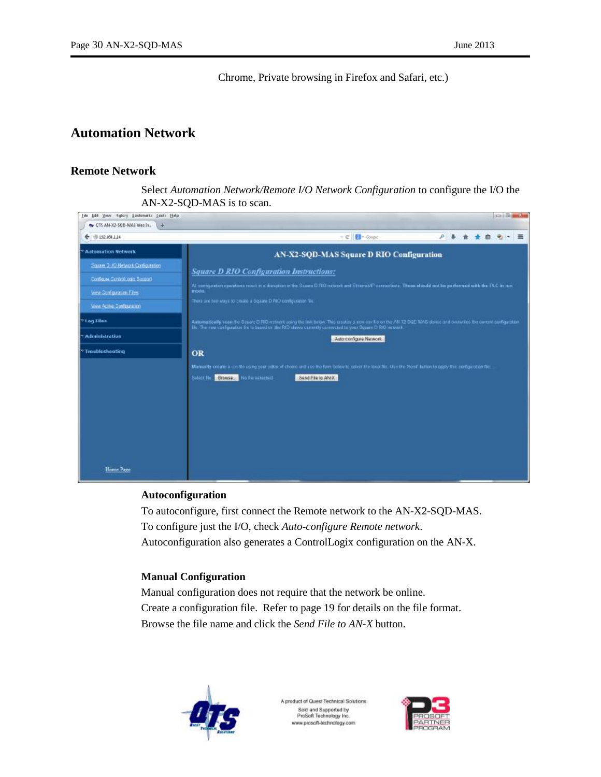Chrome, Private browsing in Firefox and Safari, etc.)

# **Automation Network**

#### **Remote Network**

Select *Automation Network/Remote I/O Network Configuration* to configure the I/O the AN-X2-SQD-MAS is to scan.

| ← 图 192.100 LJ4                  | ÷ C <b>B</b> + Gogle<br>户县食业<br>油<br>$\equiv$                                                                                                                                                                                                                                 |
|----------------------------------|-------------------------------------------------------------------------------------------------------------------------------------------------------------------------------------------------------------------------------------------------------------------------------|
| * Automation Network             | AN-X2-SQD-MAS Square D RIO Configuration                                                                                                                                                                                                                                      |
| Square 3 / 0 Network Comguration | <b>Square D RIO Configuration Instructions:</b>                                                                                                                                                                                                                               |
| Configure Control.com Support    | All computation operations result in a disruption in the Seuere D RO network and Strains/S' connections. These should not be performed with the PLC in run.                                                                                                                   |
| View Scritovation Files          | mode.                                                                                                                                                                                                                                                                         |
| View Active Conferenzion         | There are two ways to create a Square D.RIO configuration fire:                                                                                                                                                                                                               |
| * Log Files                      | Automatically scan the Scuare D RIO instead; using the link brian. This creates a new cor \$ c on the AN 12 SQC MAS down and overantes the current configuration<br>The The Few configuration Serie Search or the RIO shows currently connected to your Square D RIO nations? |
| Administration                   | Auto-comigura Natwork                                                                                                                                                                                                                                                         |
| Troubleshooting                  | OR                                                                                                                                                                                                                                                                            |
|                                  | Manually create a cordio using your stitor of choice and also the form below to celect the local file. Use the Sond' button to squily the configuration file.<br>Send File to ANX<br>Browse. No financiacted<br>Select fig.                                                   |

#### **Autoconfiguration**

To autoconfigure, first connect the Remote network to the AN-X2-SQD-MAS. To configure just the I/O, check *Auto-configure Remote network*. Autoconfiguration also generates a ControlLogix configuration on the AN-X.

#### **Manual Configuration**

Manual configuration does not require that the network be online. Create a configuration file. Refer to page 19 for details on the file format. Browse the file name and click the *Send File to AN-X* button.



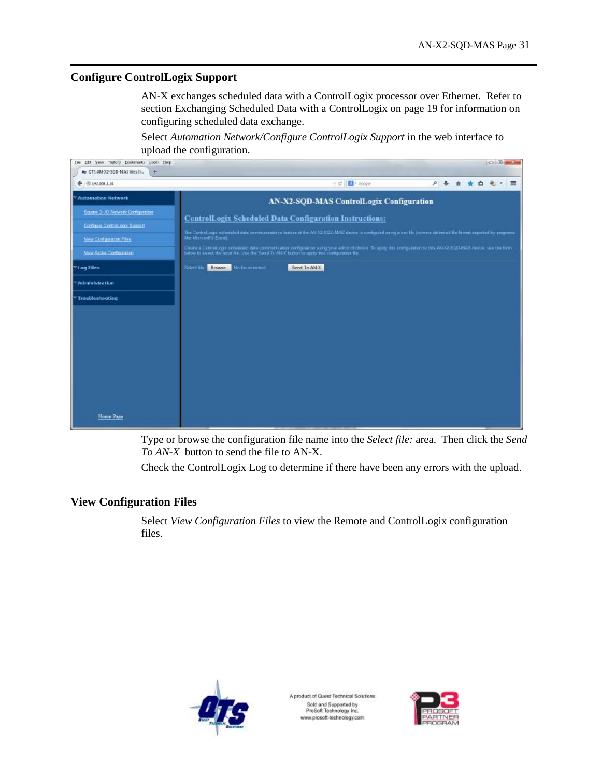# **Configure ControlLogix Support**

AN-X exchanges scheduled data with a ControlLogix processor over Ethernet. Refer to section Exchanging Scheduled Data with a ControlLogix on page 19 for information on configuring scheduled data exchange.

Select *Automation Network/Configure ControlLogix Support* in the web interface to upload the configuration.

| tile bot Yew Highay bookmarks Look Help | <b>COLLEGE AND</b>                                                                                                                                                                                                                                                   |
|-----------------------------------------|----------------------------------------------------------------------------------------------------------------------------------------------------------------------------------------------------------------------------------------------------------------------|
| Av CTS AN-X2-50D-MAS Wes In.<br>$+$     |                                                                                                                                                                                                                                                                      |
| 4LL001.56 号                             | <b>Ed</b> - Google<br>$<\mathcal{C}$<br>户县食<br>$\equiv$<br>直                                                                                                                                                                                                         |
| <sup>*</sup> Automation Network         | AN-X2-SQD-MAS ControlLogix Configuration                                                                                                                                                                                                                             |
| Square 3 / 0 Network Comiguration       | <b>ControlLogix Scheduled Data Configuration Instructions:</b>                                                                                                                                                                                                       |
| Configure Control.com Support           | The Control Light scheduled data communications feature of the AN-32-SQC-MAS denote in configured using a cavilla (comme delimined the format experted by programs,                                                                                                  |
| View Configuration Files                | the Microsoft's Canal.                                                                                                                                                                                                                                               |
| View Active Configuration               | Create a Control opy scheduled data communication configuration using your editor of choice. To apply this configuration to this ANAZ-SQD-MAS-orvice, use the form<br>below to select the local file. Use the 'Send Tr. AN-X' button to apply this comparation file. |
| <b>Til og Files</b>                     | Browse No Ensuring<br>Send To AN-X<br>Salect file                                                                                                                                                                                                                    |
| Administration                          |                                                                                                                                                                                                                                                                      |
| Troubleshooting                         |                                                                                                                                                                                                                                                                      |
|                                         |                                                                                                                                                                                                                                                                      |
|                                         |                                                                                                                                                                                                                                                                      |
|                                         |                                                                                                                                                                                                                                                                      |
|                                         |                                                                                                                                                                                                                                                                      |
|                                         |                                                                                                                                                                                                                                                                      |
|                                         |                                                                                                                                                                                                                                                                      |
|                                         |                                                                                                                                                                                                                                                                      |
|                                         |                                                                                                                                                                                                                                                                      |
| Home Page                               |                                                                                                                                                                                                                                                                      |
|                                         |                                                                                                                                                                                                                                                                      |

Type or browse the configuration file name into the *Select file:* area. Then click the *Send To AN-X* button to send the file to AN-X.

Check the ControlLogix Log to determine if there have been any errors with the upload.

# **View Configuration Files**

Select *View Configuration Files* to view the Remote and ControlLogix configuration files.



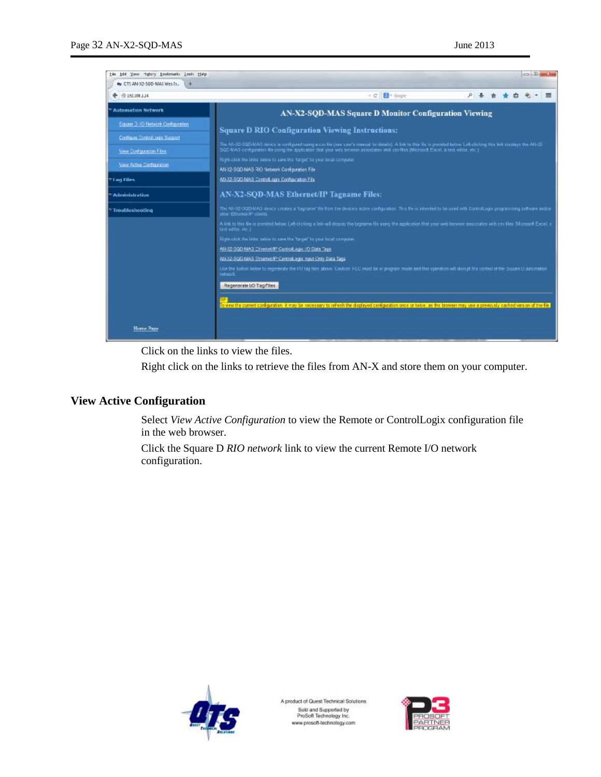| bdd Yww Hubory bookmarks Look Help<br>tés<br>my CTS AN-X2-50D-MAS Wes Ix.<br>$+$             | $rac{1}{2}$ $\frac{1}{2}$ $\frac{1}{2}$ $\frac{1}{2}$ $\frac{1}{2}$ $\frac{1}{2}$ $\frac{1}{2}$                                                                                                                                                                                                                                                                                 |  |  |  |  |
|----------------------------------------------------------------------------------------------|---------------------------------------------------------------------------------------------------------------------------------------------------------------------------------------------------------------------------------------------------------------------------------------------------------------------------------------------------------------------------------|--|--|--|--|
| 4LL001.52 参                                                                                  | <b>Ed</b> - Google<br>÷.eli                                                                                                                                                                                                                                                                                                                                                     |  |  |  |  |
| <b>Automation Network</b>                                                                    | <b>AN-X2-SQD-MAS Square D Monitor Configuration Viewing</b>                                                                                                                                                                                                                                                                                                                     |  |  |  |  |
| Square 3 / 0 Network Comparation<br>Configure Control.com Support<br>View Scritovation Files | <b>Square D RIO Configuration Viewing Instructions:</b><br>The AN-X2-DQD-MAC device is configured using a cav file (see user's manual for details). A link to this file is provided below. Let-obclong this link casebys the AN-X2-<br>SQD-MAS configuration file using the application that your web browser associates with covillas (fillcroscit Excel, a rest editor, etc.) |  |  |  |  |
| View Active Conferencian<br><b>Yi og Files</b>                                               | Foget-click the lines below to says the Target' to your local computer.<br>AN-X2-SQC-MAS RIO Network Configuration File<br>AN-X2-SOD-MAS ControlLogic Configuration File<br>AN-X2-SQD-MAS Ethernet/IP Tagname Files:                                                                                                                                                            |  |  |  |  |
| Administration                                                                               |                                                                                                                                                                                                                                                                                                                                                                                 |  |  |  |  |
| Troubleshooting                                                                              | The AN-X2-OQD-MAG device creates a "tograme" file from the device's active configuration. This file in interded to be used with Controllogix programming subvare and/or<br>other Ethaniati Projects.                                                                                                                                                                            |  |  |  |  |
|                                                                                              | A link to this Ne in provided below. Let-clicking a link will drap ay the tagrame file annig the application that your web browser associates with ony kies (Microsoft Excel, in<br>text editor, etc.)                                                                                                                                                                          |  |  |  |  |
|                                                                                              | Right-click the inter below to asset the "target" to your lice/computer.                                                                                                                                                                                                                                                                                                        |  |  |  |  |
|                                                                                              | AN-X2-SQD-MAS Chenet/IP Centrol, ago: 70 Data Tags                                                                                                                                                                                                                                                                                                                              |  |  |  |  |
|                                                                                              | 604.02-SQCI-MAS Ethernet/IP Cantroll ages mayt Only Data Tags                                                                                                                                                                                                                                                                                                                   |  |  |  |  |
|                                                                                              | Use the button helps to regenerate the UO (ag files above Caubon: HLC must be in program reade and this operation will disrupt the control of the Source D automobile<br>ristwark.                                                                                                                                                                                              |  |  |  |  |
|                                                                                              | Regenerate I/O Tagiffes                                                                                                                                                                                                                                                                                                                                                         |  |  |  |  |
|                                                                                              | owew the current configuration of may be necessary to refresh the displayed configuration once of twice, as the browser may use a previously cached version of the file.                                                                                                                                                                                                        |  |  |  |  |
| Home Page                                                                                    |                                                                                                                                                                                                                                                                                                                                                                                 |  |  |  |  |

Click on the links to view the files.

Right click on the links to retrieve the files from AN-X and store them on your computer.

# **View Active Configuration**

Select *View Active Configuration* to view the Remote or ControlLogix configuration file in the web browser.

Click the Square D *RIO network* link to view the current Remote I/O network configuration.



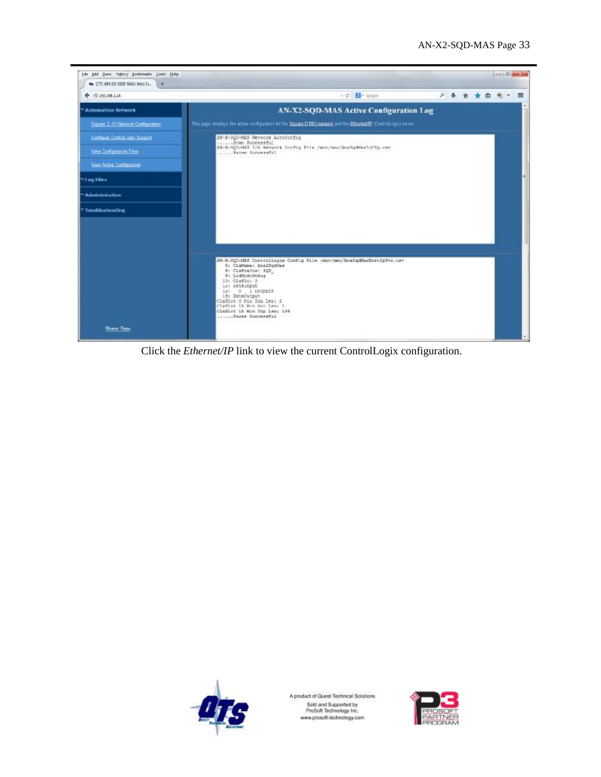

Click the *Ethernet/IP* link to view the current ControlLogix configuration.



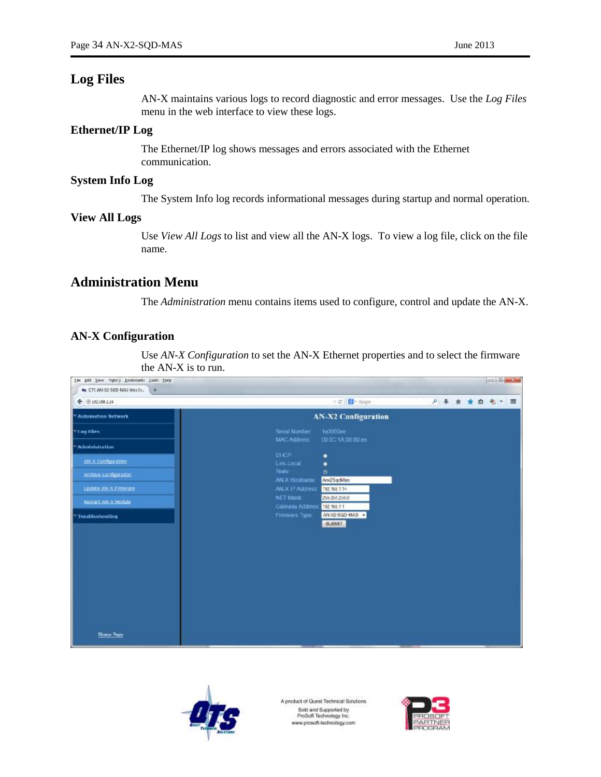# **Log Files**

AN-X maintains various logs to record diagnostic and error messages. Use the *Log Files* menu in the web interface to view these logs.

#### **Ethernet/IP Log**

The Ethernet/IP log shows messages and errors associated with the Ethernet communication.

### **System Info Log**

The System Info log records informational messages during startup and normal operation.

#### **View All Logs**

Use *View All Logs* to list and view all the AN-X logs. To view a log file, click on the file name.

# **Administration Menu**

The *Administration* menu contains items used to configure, control and update the AN-X.

### **AN-X Configuration**

Use *AN-X Configuration* to set the AN-X Ethernet properties and to select the firmware the AN-X is to run.





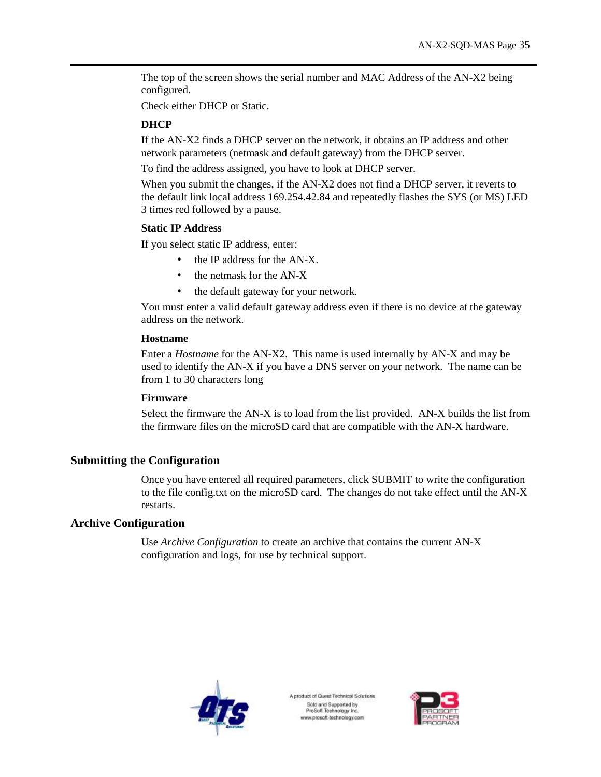The top of the screen shows the serial number and MAC Address of the AN-X2 being configured.

Check either DHCP or Static.

### **DHCP**

If the AN-X2 finds a DHCP server on the network, it obtains an IP address and other network parameters (netmask and default gateway) from the DHCP server.

To find the address assigned, you have to look at DHCP server.

When you submit the changes, if the AN-X2 does not find a DHCP server, it reverts to the default link local address 169.254.42.84 and repeatedly flashes the SYS (or MS) LED 3 times red followed by a pause.

#### **Static IP Address**

If you select static IP address, enter:

- the IP address for the AN-X.
- the netmask for the AN-X
- the default gateway for your network.

You must enter a valid default gateway address even if there is no device at the gateway address on the network.

#### **Hostname**

Enter a *Hostname* for the AN-X2. This name is used internally by AN-X and may be used to identify the AN-X if you have a DNS server on your network. The name can be from 1 to 30 characters long

#### **Firmware**

Select the firmware the AN-X is to load from the list provided. AN-X builds the list from the firmware files on the microSD card that are compatible with the AN-X hardware.

# **Submitting the Configuration**

Once you have entered all required parameters, click SUBMIT to write the configuration to the file config.txt on the microSD card. The changes do not take effect until the AN-X restarts.

### **Archive Configuration**

Use *Archive Configuration* to create an archive that contains the current AN-X configuration and logs, for use by technical support.



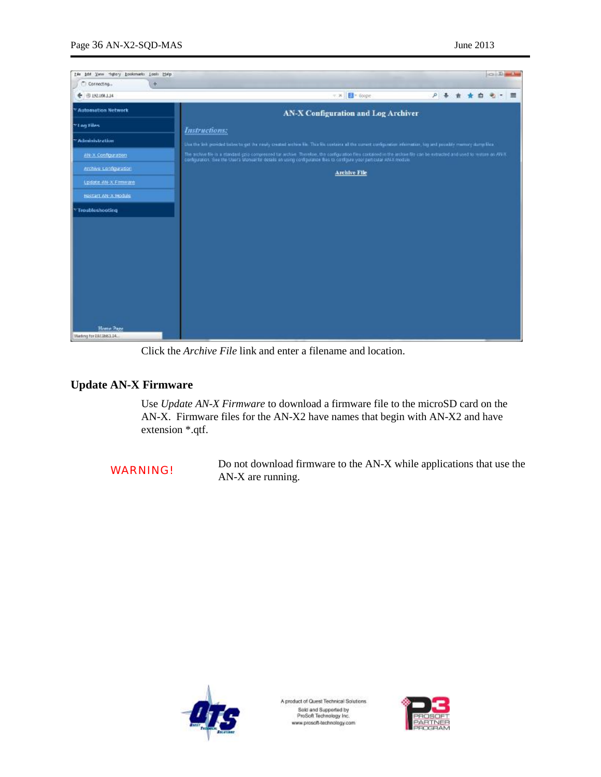| his bot year righty bookmarks jook histp | <b>COLLEGE</b>                                                                                                                                                                                                                                                                                      |
|------------------------------------------|-----------------------------------------------------------------------------------------------------------------------------------------------------------------------------------------------------------------------------------------------------------------------------------------------------|
| $+$<br>Connecting                        |                                                                                                                                                                                                                                                                                                     |
| ← 市192.100 J.J4                          | <b>Ed</b> - Google<br>户县食<br>7.36<br>$\equiv$<br>a.<br>-Mu<br>٠                                                                                                                                                                                                                                     |
| <sup>*</sup> Automation Network          | AN-X Configuration and Log Archiver                                                                                                                                                                                                                                                                 |
| 7'll ag Filés                            | <b>Instructions:</b>                                                                                                                                                                                                                                                                                |
| "Administration                          | Use the link provided below to get the newly created archive tile. This tile contains all the current configuration information, top and position minority during files                                                                                                                             |
| AN-X Configuration                       | The archive file is a standard gain compressed for withire. Therefore, the configuration files contained in the archive file can be extracted and used to restore an AN-X.<br>configuration. See the Users Manual for details an using configuration thas to configure your perticular AN-X module. |
| Archive Configuration                    | <b>Archive File</b>                                                                                                                                                                                                                                                                                 |
| Update 4N-X Firmware                     |                                                                                                                                                                                                                                                                                                     |
| HESTALT AN: X Module                     |                                                                                                                                                                                                                                                                                                     |
| Troubleshooting                          |                                                                                                                                                                                                                                                                                                     |
|                                          |                                                                                                                                                                                                                                                                                                     |
|                                          |                                                                                                                                                                                                                                                                                                     |
|                                          |                                                                                                                                                                                                                                                                                                     |
|                                          |                                                                                                                                                                                                                                                                                                     |
|                                          |                                                                                                                                                                                                                                                                                                     |
|                                          |                                                                                                                                                                                                                                                                                                     |
|                                          |                                                                                                                                                                                                                                                                                                     |
| Home Page<br>Vieting for EW.168.1.14.    |                                                                                                                                                                                                                                                                                                     |

Click the *Archive File* link and enter a filename and location.

# **Update AN-X Firmware**

Use *Update AN-X Firmware* to download a firmware file to the microSD card on the AN-X. Firmware files for the AN-X2 have names that begin with AN-X2 and have extension \*.qtf.

WARNING! Do not download firmware to the AN-X while applications that use the AN-X are running.



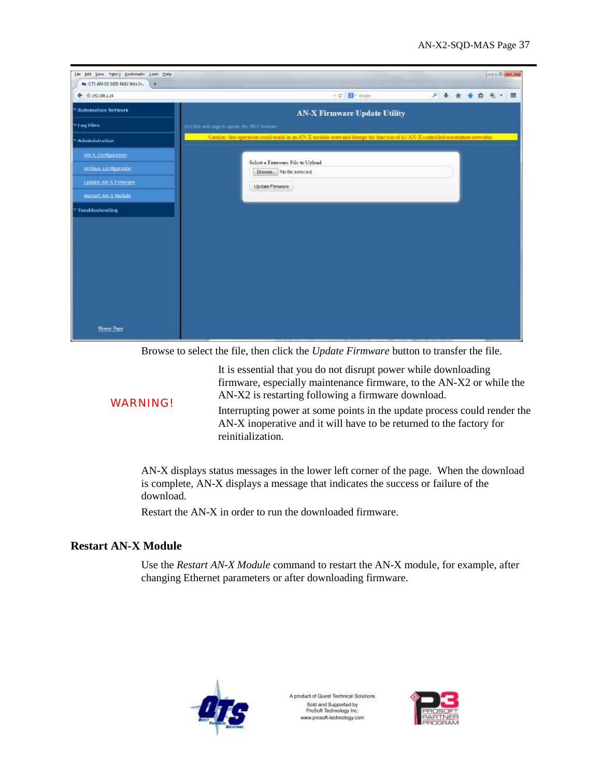| tile bot Yew Hijtory bookmarks Look Help<br>Av CTS AN-X2-50D-MAS Wes In.<br>$+$ |                                                                                                                                   | $\frac{1}{2}$   |
|---------------------------------------------------------------------------------|-----------------------------------------------------------------------------------------------------------------------------------|-----------------|
| ← @192.108.1.14                                                                 | ÷ C <b>B</b> + Goge                                                                                                               | 户 县 食 食 自 电 一 图 |
| <sup>*</sup> Automation Network                                                 | <b>AN-X Firmware Update Utility</b>                                                                                               |                 |
| Villag Files                                                                    | Use this will page to uptate the 781X firmings.                                                                                   |                 |
| <b>Administration</b>                                                           | Caution, this operation could result in an AN-X module reset and disrupt the function of all AN-X controlled automation networks. |                 |
| AN-X Configuration                                                              |                                                                                                                                   |                 |
| erchive configuration                                                           | Select a Firmware File to Upload<br>Drawse. No file selected                                                                      |                 |
| Update 4N-X Firmware                                                            | Update l'imware                                                                                                                   |                 |
| HESTALT AN: X Modula                                                            |                                                                                                                                   |                 |
| Troubleshooting                                                                 |                                                                                                                                   |                 |
|                                                                                 |                                                                                                                                   |                 |
|                                                                                 |                                                                                                                                   |                 |
|                                                                                 |                                                                                                                                   |                 |
|                                                                                 |                                                                                                                                   |                 |
|                                                                                 |                                                                                                                                   |                 |
|                                                                                 |                                                                                                                                   |                 |
|                                                                                 |                                                                                                                                   |                 |
| Home Page                                                                       |                                                                                                                                   |                 |
|                                                                                 |                                                                                                                                   |                 |

Browse to select the file, then click the *Update Firmware* button to transfer the file.

It is essential that you do not disrupt power while downloading firmware, especially maintenance firmware, to the AN-X2 or while the AN-X2 is restarting following a firmware download.

WARNING!

Interrupting power at some points in the update process could render the AN-X inoperative and it will have to be returned to the factory for reinitialization.

AN-X displays status messages in the lower left corner of the page. When the download is complete, AN-X displays a message that indicates the success or failure of the download.

Restart the AN-X in order to run the downloaded firmware.

# **Restart AN-X Module**

Use the *Restart AN-X Module* command to restart the AN-X module, for example, after changing Ethernet parameters or after downloading firmware.



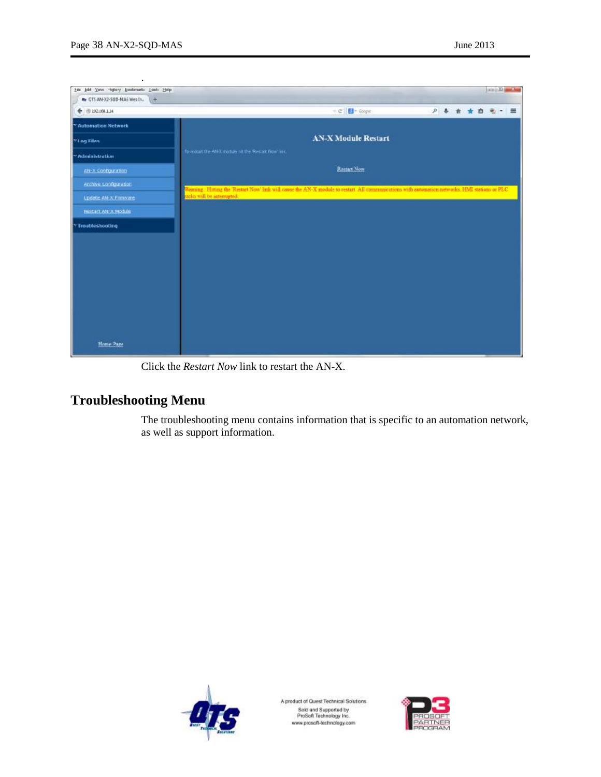.

| his bit you righty hookmarks jook Help<br>Av CTS AN-X2-50D-MAS Wes In.<br>$+$ |                                                                                                                                                 |                |  |  | <b>COLLEGE</b> |  |
|-------------------------------------------------------------------------------|-------------------------------------------------------------------------------------------------------------------------------------------------|----------------|--|--|----------------|--|
| ← @192.108.1.14                                                               | ÷ C B + Goge                                                                                                                                    | 户事 食 食 自 电 一 图 |  |  |                |  |
| <sup>*</sup> Automation Network                                               |                                                                                                                                                 |                |  |  |                |  |
| Villag Files                                                                  | <b>AN-X Module Restart</b>                                                                                                                      |                |  |  |                |  |
| <b>Administration</b>                                                         | To restart the ANK module of the Restart Now Inc.                                                                                               |                |  |  |                |  |
| AN-X Configuration                                                            | Restart Now                                                                                                                                     |                |  |  |                |  |
| Archive Configuration                                                         | Warning: Hotting the 'Restart Now' link will cause the AN-X module to restart. All communications with automation networks. HMI stations or PLC |                |  |  |                |  |
| Lodate 4N-X Firmware                                                          | razles will be interespted.                                                                                                                     |                |  |  |                |  |
| HESTALT AN: X Module                                                          |                                                                                                                                                 |                |  |  |                |  |
| Troubleshooting                                                               |                                                                                                                                                 |                |  |  |                |  |
|                                                                               |                                                                                                                                                 |                |  |  |                |  |
|                                                                               |                                                                                                                                                 |                |  |  |                |  |
|                                                                               |                                                                                                                                                 |                |  |  |                |  |
|                                                                               |                                                                                                                                                 |                |  |  |                |  |
|                                                                               |                                                                                                                                                 |                |  |  |                |  |
|                                                                               |                                                                                                                                                 |                |  |  |                |  |
|                                                                               |                                                                                                                                                 |                |  |  |                |  |
| Home Page                                                                     |                                                                                                                                                 |                |  |  |                |  |

Click the *Restart Now* link to restart the AN-X.

# **Troubleshooting Menu**

The troubleshooting menu contains information that is specific to an automation network, as well as support information.



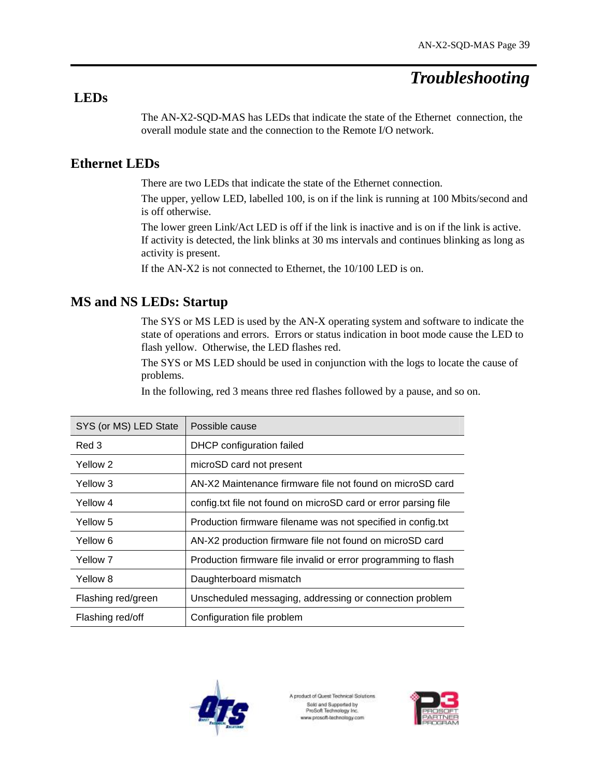# *Troubleshooting*

# **LEDs**

The AN-X2-SQD-MAS has LEDs that indicate the state of the Ethernet connection, the overall module state and the connection to the Remote I/O network.

# **Ethernet LEDs**

There are two LEDs that indicate the state of the Ethernet connection.

The upper, yellow LED, labelled 100, is on if the link is running at 100 Mbits/second and is off otherwise.

The lower green Link/Act LED is off if the link is inactive and is on if the link is active. If activity is detected, the link blinks at 30 ms intervals and continues blinking as long as activity is present.

If the AN-X2 is not connected to Ethernet, the 10/100 LED is on.

# **MS and NS LEDs: Startup**

The SYS or MS LED is used by the AN-X operating system and software to indicate the state of operations and errors. Errors or status indication in boot mode cause the LED to flash yellow. Otherwise, the LED flashes red.

The SYS or MS LED should be used in conjunction with the logs to locate the cause of problems.

In the following, red 3 means three red flashes followed by a pause, and so on.

| SYS (or MS) LED State | Possible cause                                                  |
|-----------------------|-----------------------------------------------------------------|
| Red 3                 | DHCP configuration failed                                       |
| Yellow 2              | microSD card not present                                        |
| Yellow 3              | AN-X2 Maintenance firmware file not found on microSD card       |
| Yellow 4              | config.txt file not found on microSD card or error parsing file |
| Yellow 5              | Production firmware filename was not specified in config.txt    |
| Yellow 6              | AN-X2 production firmware file not found on microSD card        |
| Yellow 7              | Production firmware file invalid or error programming to flash  |
| Yellow 8              | Daughterboard mismatch                                          |
| Flashing red/green    | Unscheduled messaging, addressing or connection problem         |
| Flashing red/off      | Configuration file problem                                      |



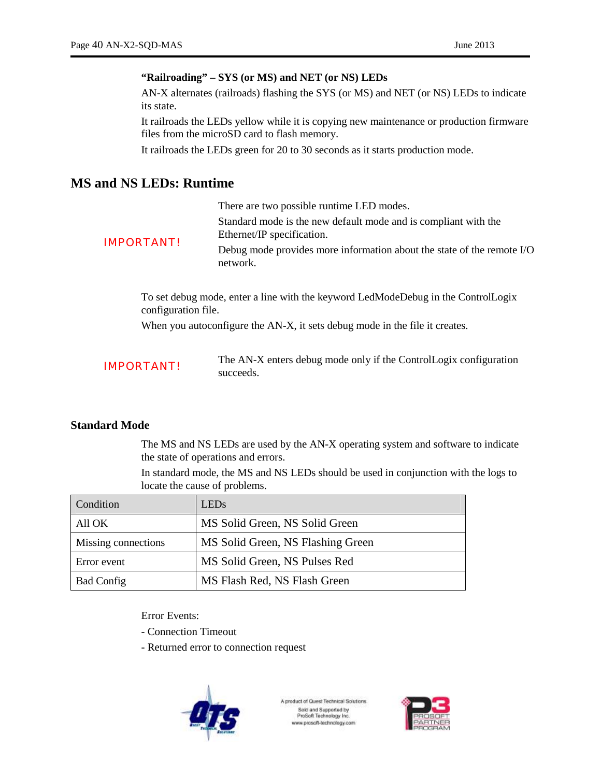#### **"Railroading" – SYS (or MS) and NET (or NS) LEDs**

AN-X alternates (railroads) flashing the SYS (or MS) and NET (or NS) LEDs to indicate its state.

It railroads the LEDs yellow while it is copying new maintenance or production firmware files from the microSD card to flash memory.

It railroads the LEDs green for 20 to 30 seconds as it starts production mode.

# **MS and NS LEDs: Runtime**

|                   | There are two possible runtime LED modes.                                                     |
|-------------------|-----------------------------------------------------------------------------------------------|
|                   | Standard mode is the new default mode and is compliant with the<br>Ethernet/IP specification. |
| <b>IMPORTANT!</b> | Debug mode provides more information about the state of the remote I/O<br>network.            |

To set debug mode, enter a line with the keyword LedModeDebug in the ControlLogix configuration file.

When you autoconfigure the AN-X, it sets debug mode in the file it creates.

| <b>IMPORTANT!</b> | The AN-X enters debug mode only if the ControlLogix configuration |
|-------------------|-------------------------------------------------------------------|
|                   | succeeds.                                                         |

#### **Standard Mode**

The MS and NS LEDs are used by the AN-X operating system and software to indicate the state of operations and errors.

In standard mode, the MS and NS LEDs should be used in conjunction with the logs to locate the cause of problems.

| Condition           | <b>LEDs</b>                       |
|---------------------|-----------------------------------|
| All OK              | MS Solid Green, NS Solid Green    |
| Missing connections | MS Solid Green, NS Flashing Green |
| Error event         | MS Solid Green, NS Pulses Red     |
| <b>Bad Config</b>   | MS Flash Red, NS Flash Green      |

Error Events:

- Connection Timeout

- Returned error to connection request



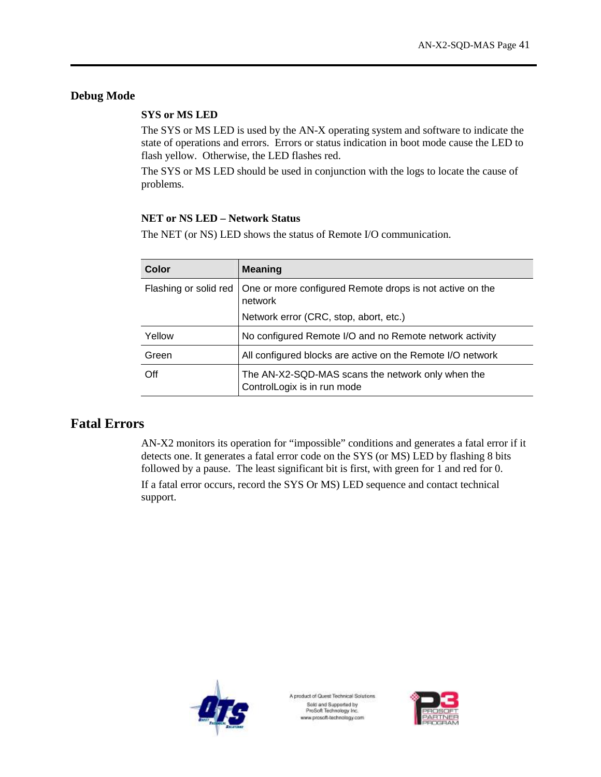# **Debug Mode**

### **SYS or MS LED**

The SYS or MS LED is used by the AN-X operating system and software to indicate the state of operations and errors. Errors or status indication in boot mode cause the LED to flash yellow. Otherwise, the LED flashes red.

The SYS or MS LED should be used in conjunction with the logs to locate the cause of problems.

### **NET or NS LED – Network Status**

The NET (or NS) LED shows the status of Remote I/O communication.

| Color                 | <b>Meaning</b>                                                                   |  |
|-----------------------|----------------------------------------------------------------------------------|--|
| Flashing or solid red | One or more configured Remote drops is not active on the<br>network              |  |
|                       | Network error (CRC, stop, abort, etc.)                                           |  |
| Yellow                | No configured Remote I/O and no Remote network activity                          |  |
| Green                 | All configured blocks are active on the Remote I/O network                       |  |
| Off                   | The AN-X2-SQD-MAS scans the network only when the<br>ControlLogix is in run mode |  |

# **Fatal Errors**

AN-X2 monitors its operation for "impossible" conditions and generates a fatal error if it detects one. It generates a fatal error code on the SYS (or MS) LED by flashing 8 bits followed by a pause. The least significant bit is first, with green for 1 and red for 0. If a fatal error occurs, record the SYS Or MS) LED sequence and contact technical support.



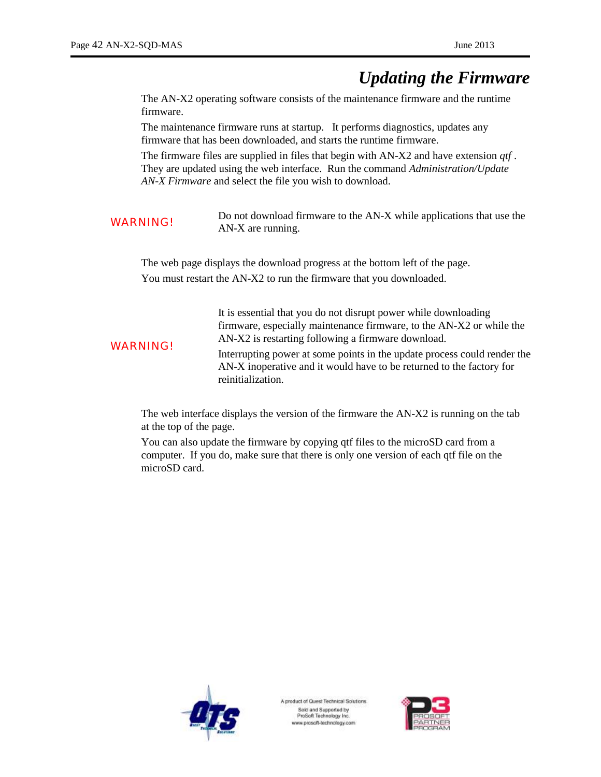# *Updating the Firmware*

The AN-X2 operating software consists of the maintenance firmware and the runtime firmware.

The maintenance firmware runs at startup. It performs diagnostics, updates any firmware that has been downloaded, and starts the runtime firmware.

The firmware files are supplied in files that begin with AN-X2 and have extension *qtf* . They are updated using the web interface. Run the command *Administration/Update AN-X Firmware* and select the file you wish to download.

WARNING! Do not download firmware to the AN-X while applications that use the AN-X are running.

The web page displays the download progress at the bottom left of the page. You must restart the AN-X2 to run the firmware that you downloaded.

| <b>WARNING!</b> | It is essential that you do not disrupt power while downloading<br>firmware, especially maintenance firmware, to the AN-X2 or while the<br>AN-X2 is restarting following a firmware download. |
|-----------------|-----------------------------------------------------------------------------------------------------------------------------------------------------------------------------------------------|
|                 | Interrupting power at some points in the update process could render the<br>AN-X inoperative and it would have to be returned to the factory for<br>reinitialization.                         |

The web interface displays the version of the firmware the AN-X2 is running on the tab at the top of the page.

You can also update the firmware by copying qtf files to the microSD card from a computer. If you do, make sure that there is only one version of each qtf file on the microSD card.



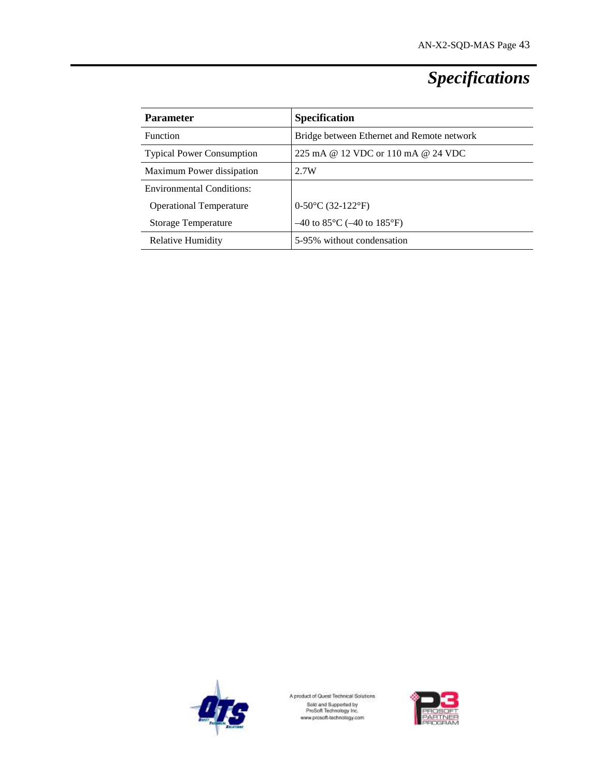# *Specifications*

| <b>Parameter</b>                 | <b>Specification</b>                                |
|----------------------------------|-----------------------------------------------------|
| <b>Function</b>                  | Bridge between Ethernet and Remote network          |
| <b>Typical Power Consumption</b> | 225 mA @ 12 VDC or 110 mA @ 24 VDC                  |
| Maximum Power dissipation        | 2.7W                                                |
| <b>Environmental Conditions:</b> |                                                     |
| <b>Operational Temperature</b>   | $0-50\textdegree C (32-122\textdegree F)$           |
| <b>Storage Temperature</b>       | $-40$ to 85 $\degree$ C ( $-40$ to 185 $\degree$ F) |
| <b>Relative Humidity</b>         | 5-95% without condensation                          |



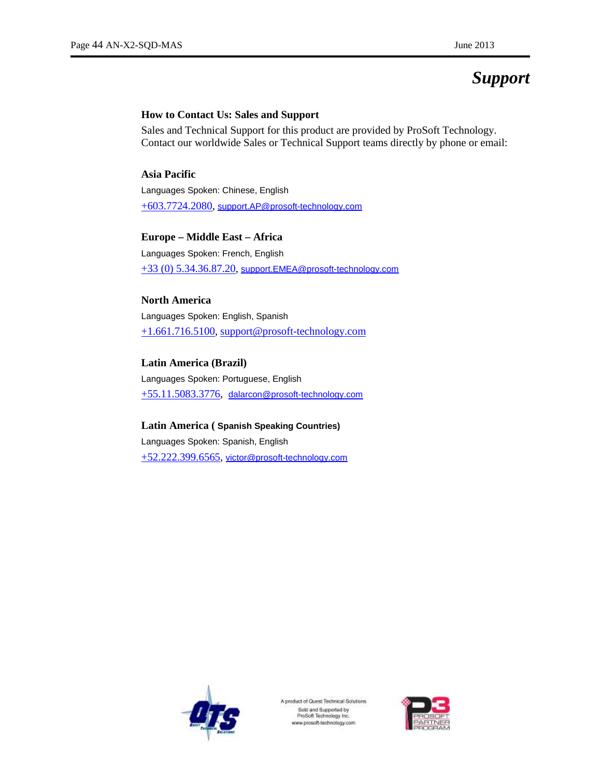# *Support*

#### **How to Contact Us: Sales and Support**

Sales and Technical Support for this product are provided by ProSoft Technology. Contact our worldwide Sales or Technical Support teams directly by phone or email:

#### **Asia Pacific**

Languages Spoken: Chinese, English +603.7724.2080, [support.AP@prosoft-technology.com](mailto:support.AP@prosoft-technology.com)

#### **Europe – Middle East – Africa**

Languages Spoken: French, English +33 (0) 5.34.36.87.20, [support.EMEA@prosoft-technology.com](mailto:support.EMEA@prosoft-technology.com)

#### **North America**

Languages Spoken: English, Spanish +1.661.716.5100, [support@prosoft-technology.com](mailto:support@prosoft-technology.com)

#### **Latin America (Brazil)**

Languages Spoken: Portuguese, English +55.11.5083.3776, [dalarcon@prosoft-technology.com](mailto:dalarcon@prosoft-technology.com)

#### **Latin America ( Spanish Speaking Countries)**

Languages Spoken: Spanish, English +52.222.399.6565, [victor@prosoft-technology.com](mailto:victor@prosoft-technology.com)